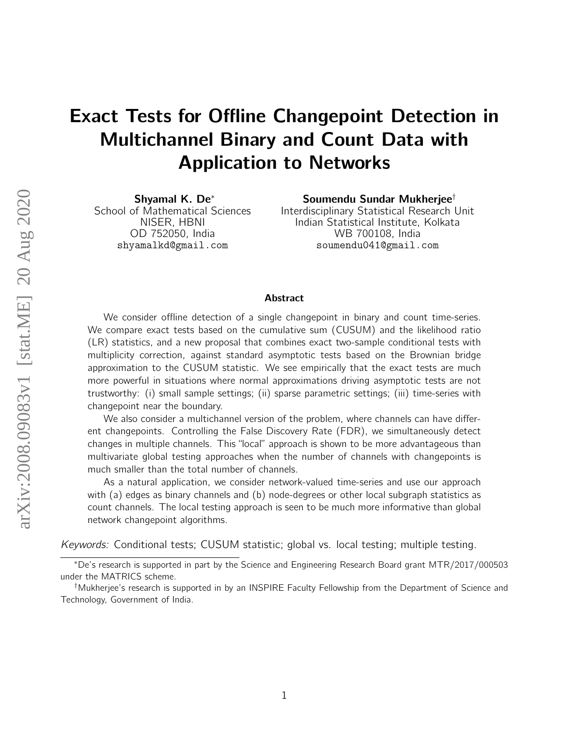# Exact Tests for Offline Changepoint Detection in Multichannel Binary and Count Data with Application to Networks

Shyamal K. De<sup>∗</sup> School of Mathematical Sciences NISER, HBNI OD 752050, India shyamalkd@gmail.com

Soumendu Sundar Mukherjee† Interdisciplinary Statistical Research Unit Indian Statistical Institute, Kolkata WB 700108, India soumendu041@gmail.com

#### Abstract

We consider offline detection of a single changepoint in binary and count time-series. We compare exact tests based on the cumulative sum (CUSUM) and the likelihood ratio (LR) statistics, and a new proposal that combines exact two-sample conditional tests with multiplicity correction, against standard asymptotic tests based on the Brownian bridge approximation to the CUSUM statistic. We see empirically that the exact tests are much more powerful in situations where normal approximations driving asymptotic tests are not trustworthy: (i) small sample settings; (ii) sparse parametric settings; (iii) time-series with changepoint near the boundary.

We also consider a multichannel version of the problem, where channels can have different changepoints. Controlling the False Discovery Rate (FDR), we simultaneously detect changes in multiple channels. This "local" approach is shown to be more advantageous than multivariate global testing approaches when the number of channels with changepoints is much smaller than the total number of channels.

As a natural application, we consider network-valued time-series and use our approach with (a) edges as binary channels and (b) node-degrees or other local subgraph statistics as count channels. The local testing approach is seen to be much more informative than global network changepoint algorithms.

Keywords: Conditional tests; CUSUM statistic; global vs. local testing; multiple testing.

<sup>∗</sup>De's research is supported in part by the Science and Engineering Research Board grant MTR/2017/000503 under the MATRICS scheme.

<sup>†</sup>Mukherjee's research is supported in by an INSPIRE Faculty Fellowship from the Department of Science and Technology, Government of India.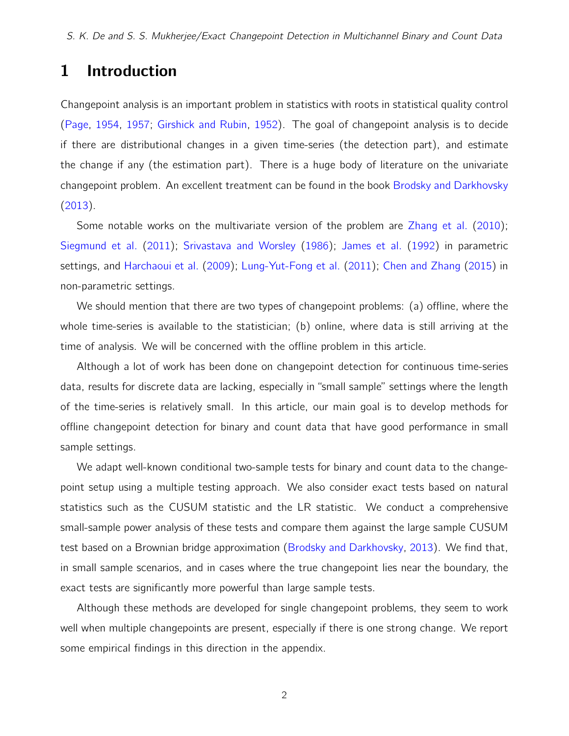# 1 Introduction

Changepoint analysis is an important problem in statistics with roots in statistical quality control [\(Page,](#page-19-0) [1954,](#page-19-0) [1957;](#page-19-1) [Girshick and Rubin,](#page-18-0) [1952\)](#page-18-0). The goal of changepoint analysis is to decide if there are distributional changes in a given time-series (the detection part), and estimate the change if any (the estimation part). There is a huge body of literature on the univariate changepoint problem. An excellent treatment can be found in the book [Brodsky and Darkhovsky](#page-18-1) [\(2013\)](#page-18-1).

Some notable works on the multivariate version of the problem are [Zhang et al.](#page-19-2) [\(2010\)](#page-19-2); [Siegmund et al.](#page-19-3) [\(2011\)](#page-19-3); [Srivastava and Worsley](#page-19-4) [\(1986\)](#page-19-4); [James et al.](#page-18-2) [\(1992\)](#page-18-2) in parametric settings, and [Harchaoui et al.](#page-18-3) [\(2009\)](#page-18-3); [Lung-Yut-Fong et al.](#page-18-4) [\(2011\)](#page-18-4); [Chen and Zhang](#page-18-5) [\(2015\)](#page-18-5) in non-parametric settings.

We should mention that there are two types of changepoint problems: (a) offline, where the whole time-series is available to the statistician; (b) online, where data is still arriving at the time of analysis. We will be concerned with the offline problem in this article.

Although a lot of work has been done on changepoint detection for continuous time-series data, results for discrete data are lacking, especially in "small sample" settings where the length of the time-series is relatively small. In this article, our main goal is to develop methods for offline changepoint detection for binary and count data that have good performance in small sample settings.

We adapt well-known conditional two-sample tests for binary and count data to the changepoint setup using a multiple testing approach. We also consider exact tests based on natural statistics such as the CUSUM statistic and the LR statistic. We conduct a comprehensive small-sample power analysis of these tests and compare them against the large sample CUSUM test based on a Brownian bridge approximation [\(Brodsky and Darkhovsky,](#page-18-1) [2013\)](#page-18-1). We find that, in small sample scenarios, and in cases where the true changepoint lies near the boundary, the exact tests are significantly more powerful than large sample tests.

Although these methods are developed for single changepoint problems, they seem to work well when multiple changepoints are present, especially if there is one strong change. We report some empirical findings in this direction in the appendix.

2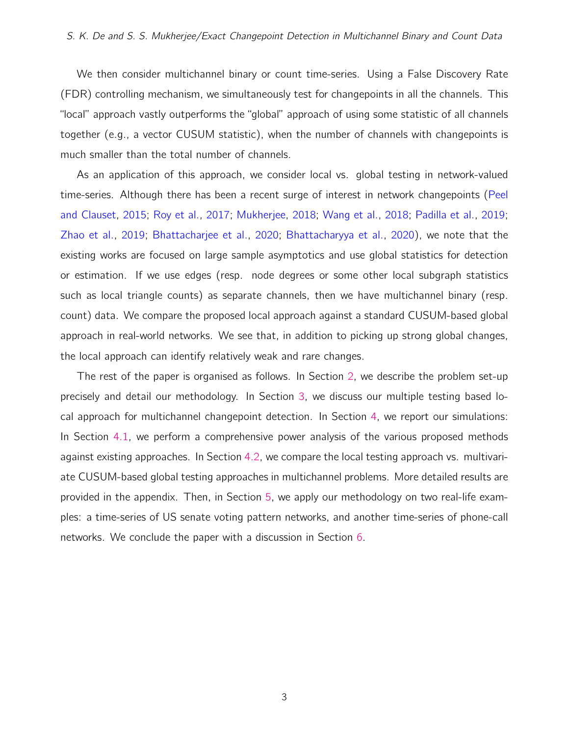We then consider multichannel binary or count time-series. Using a False Discovery Rate (FDR) controlling mechanism, we simultaneously test for changepoints in all the channels. This "local" approach vastly outperforms the "global" approach of using some statistic of all channels together (e.g., a vector CUSUM statistic), when the number of channels with changepoints is much smaller than the total number of channels.

As an application of this approach, we consider local vs. global testing in network-valued time-series. Although there has been a recent surge of interest in network changepoints [\(Peel](#page-19-5) [and Clauset,](#page-19-5) [2015;](#page-19-5) [Roy et al.,](#page-19-6) [2017;](#page-19-6) [Mukherjee,](#page-18-6) [2018;](#page-18-6) [Wang et al.,](#page-19-7) [2018;](#page-19-7) [Padilla et al.,](#page-19-8) [2019;](#page-19-8) [Zhao et al.,](#page-19-9) [2019;](#page-19-9) [Bhattacharjee et al.,](#page-17-0) [2020;](#page-17-0) [Bhattacharyya et al.,](#page-17-1) [2020\)](#page-17-1), we note that the existing works are focused on large sample asymptotics and use global statistics for detection or estimation. If we use edges (resp. node degrees or some other local subgraph statistics such as local triangle counts) as separate channels, then we have multichannel binary (resp. count) data. We compare the proposed local approach against a standard CUSUM-based global approach in real-world networks. We see that, in addition to picking up strong global changes, the local approach can identify relatively weak and rare changes.

The rest of the paper is organised as follows. In Section [2,](#page-3-0) we describe the problem set-up precisely and detail our methodology. In Section [3,](#page-7-0) we discuss our multiple testing based local approach for multichannel changepoint detection. In Section [4,](#page-8-0) we report our simulations: In Section [4.1,](#page-8-1) we perform a comprehensive power analysis of the various proposed methods against existing approaches. In Section [4.2,](#page-11-0) we compare the local testing approach vs. multivariate CUSUM-based global testing approaches in multichannel problems. More detailed results are provided in the appendix. Then, in Section [5,](#page-12-0) we apply our methodology on two real-life examples: a time-series of US senate voting pattern networks, and another time-series of phone-call networks. We conclude the paper with a discussion in Section [6.](#page-16-0)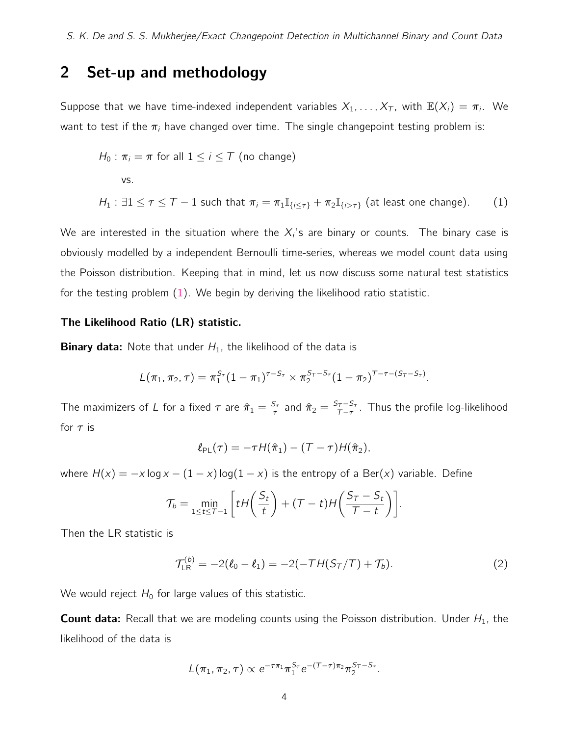# <span id="page-3-0"></span>2 Set-up and methodology

Suppose that we have time-indexed independent variables  $X_1, \ldots, X_T$ , with  $\mathbb{E}(X_i) = \pi_i$ . We want to test if the  $\pi_i$  have changed over time. The single changepoint testing problem is:

$$
H_0: \pi_i = \pi \text{ for all } 1 \le i \le T \text{ (no change)}
$$
  
vs.  

$$
H_1: \exists 1 \le \tau \le T - 1 \text{ such that } \pi_i = \pi_1 \mathbb{I}_{\{i \le \tau\}} + \pi_2 \mathbb{I}_{\{i > \tau\}} \text{ (at least one change).}
$$
 (1)

We are interested in the situation where the  $X_i$ 's are binary or counts. The binary case is obviously modelled by a independent Bernoulli time-series, whereas we model count data using the Poisson distribution. Keeping that in mind, let us now discuss some natural test statistics for the testing problem [\(1\)](#page-3-1). We begin by deriving the likelihood ratio statistic.

#### The Likelihood Ratio (LR) statistic.

**Binary data:** Note that under  $H_1$ , the likelihood of the data is

$$
L(\pi_1, \pi_2, \tau) = \pi_1^{S_{\tau}} (1 - \pi_1)^{\tau - S_{\tau}} \times \pi_2^{S_{\tau} - S_{\tau}} (1 - \pi_2)^{\tau - \tau - (S_{\tau} - S_{\tau})}.
$$

The maximizers of L for a fixed  $\tau$  are  $\hat{\pi}_1 = \frac{S_{\tau}}{\tau}$  $\frac{\varsigma_{\tau}}{\tau}$  and  $\hat{\pi}_2 = \frac{\varsigma_{\tau} - \varsigma_{\tau}}{\tau - \tau}$  $\frac{\tau- S_{\tau}}{\tau-\tau}$ . Thus the profile log-likelihood for  $\tau$  is

<span id="page-3-1"></span>
$$
\ell_{PL}(\tau)=-\tau H(\hat{\pi}_1)-(\tau-\tau)H(\hat{\pi}_2),
$$

where  $H(x) = -x \log x - (1 - x) \log(1 - x)$  is the entropy of a Ber(x) variable. Define

$$
\mathcal{T}_b = \min_{1 \leq t \leq T-1} \left[ t H\left(\frac{S_t}{t}\right) + (T-t) H\left(\frac{S_T - S_t}{T-t}\right) \right].
$$

Then the LR statistic is

$$
\mathcal{T}_{LR}^{(b)} = -2(\ell_0 - \ell_1) = -2(-TH(S_T/T) + T_b). \tag{2}
$$

We would reject  $H_0$  for large values of this statistic.

**Count data:** Recall that we are modeling counts using the Poisson distribution. Under  $H_1$ , the likelihood of the data is

$$
L(\pi_1, \pi_2, \tau) \propto e^{-\tau \pi_1} \pi_1^{S_{\tau}} e^{-(\tau - \tau) \pi_2} \pi_2^{S_{\tau} - S_{\tau}}.
$$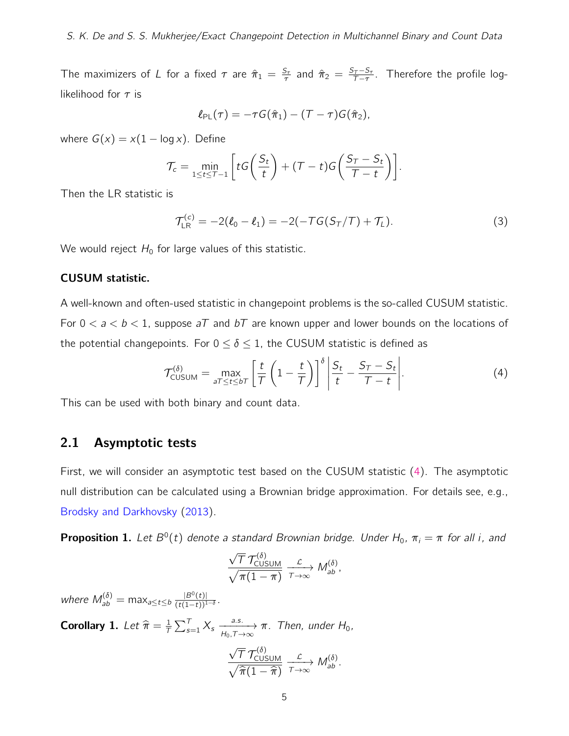The maximizers of L for a fixed  $\tau$  are  $\hat{\pi}_1 = \frac{S_{\tau}}{\tau}$  $\frac{\varsigma_{\tau}}{\tau}$  and  $\hat{\pi}_2 = \frac{S_{\tau} - S_{\tau}}{\tau - \tau}$  $\frac{\tau- S_{\tau}}{\tau-\tau}$ . Therefore the profile loglikelihood for  $\tau$  is

$$
\ell_{\text{PL}}(\tau) = -\tau G(\hat{\pi}_1) - (\mathcal{T} - \tau)G(\hat{\pi}_2),
$$

where  $G(x) = x(1 - \log x)$ . Define

$$
\mathcal{T}_c = \min_{1 \leq t \leq \mathcal{T}-1} \left[ t \mathcal{G} \left( \frac{S_t}{t} \right) + (\mathcal{T} - t) \mathcal{G} \left( \frac{S_{\mathcal{T}} - S_t}{\mathcal{T} - t} \right) \right].
$$

Then the LR statistic is

$$
\mathcal{T}_{LR}^{(c)} = -2(\ell_0 - \ell_1) = -2(-T G(S_T/T) + T_L). \tag{3}
$$

We would reject  $H_0$  for large values of this statistic.

#### CUSUM statistic.

A well-known and often-used statistic in changepoint problems is the so-called CUSUM statistic. For  $0 < a < b < 1$ , suppose  $aT$  and  $bT$  are known upper and lower bounds on the locations of the potential changepoints. For  $0 \le \delta \le 1$ , the CUSUM statistic is defined as

<span id="page-4-0"></span>
$$
\mathcal{T}^{(\delta)}_{\text{CUSUM}} = \max_{\substack{\sigma \tau \le t \le b\tau}} \left[ \frac{t}{\tau} \left( 1 - \frac{t}{\tau} \right) \right]^{\delta} \left| \frac{S_t}{t} - \frac{S_{\tau} - S_t}{\tau - t} \right|.
$$
 (4)

This can be used with both binary and count data.

### 2.1 Asymptotic tests

First, we will consider an asymptotic test based on the CUSUM statistic [\(4\)](#page-4-0). The asymptotic null distribution can be calculated using a Brownian bridge approximation. For details see, e.g., [Brodsky and Darkhovsky](#page-18-1) [\(2013\)](#page-18-1).

**Proposition 1.** Let  $B^0(t)$  denote a standard Brownian bridge. Under H<sub>0</sub>,  $\pi_i = \pi$  for all i, and

$$
\frac{\sqrt{T} \mathcal{T}_{\text{CUSUM}}^{(\delta)}}{\sqrt{\pi (1-\pi)}} \xrightarrow[\tau \to \infty]{\mathcal{L}} M_{ab}^{(\delta)},
$$

where  $M_{ab}^{(\delta)} = \max_{a \leq t \leq b} \frac{|B^0(t)|}{(t(1-t))^{1-\delta}}$ .

<span id="page-4-1"></span>**Corollary 1.** Let  $\widehat{\pi} = \frac{1}{l}$  $\frac{1}{T} \sum_{s=1}^{T} X_s \xrightarrow[n_0, T \to \infty]{a.s.} \pi$ . Then, under  $H_0$ ,

$$
\frac{\sqrt{T} \mathcal{T}_{\text{CUSUM}}^{(\delta)}}{\sqrt{\hat{\pi}(1-\hat{\pi})}} \xrightarrow[\tau \to \infty]{\mathcal{L}} M_{ab}^{(\delta)}.
$$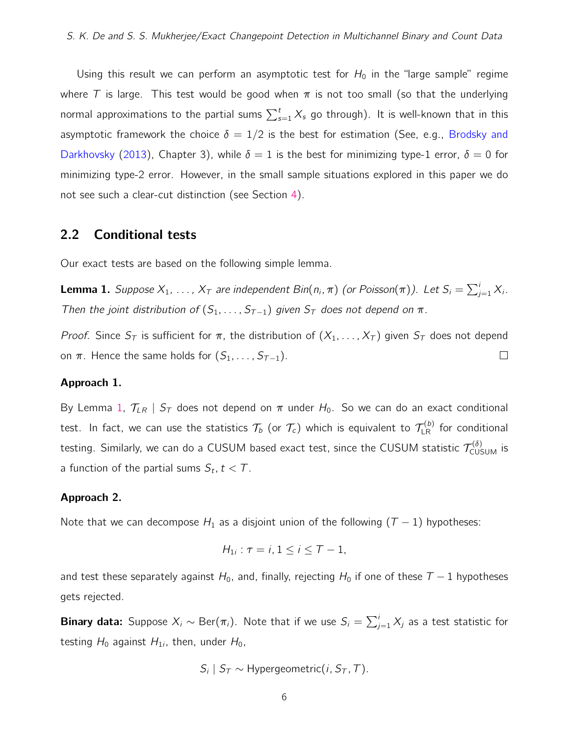Using this result we can perform an asymptotic test for  $H_0$  in the "large sample" regime where T is large. This test would be good when  $\pi$  is not too small (so that the underlying normal approximations to the partial sums  $\sum_{s=1}^t X_s$  go through). It is well-known that in this asymptotic framework the choice  $\delta = 1/2$  is the best for estimation (See, e.g., [Brodsky and](#page-18-1) [Darkhovsky](#page-18-1) [\(2013\)](#page-18-1), Chapter 3), while  $\delta = 1$  is the best for minimizing type-1 error,  $\delta = 0$  for minimizing type-2 error. However, in the small sample situations explored in this paper we do not see such a clear-cut distinction (see Section [4\)](#page-8-0).

### <span id="page-5-1"></span>2.2 Conditional tests

Our exact tests are based on the following simple lemma.

<span id="page-5-0"></span>**Lemma 1.** Suppose  $X_1, \ldots, X_T$  are independent  $Bin(n_i, \pi)$  (or Poisson $(\pi)$ ). Let  $S_i = \sum_{j=1}^i X_i$ . Then the joint distribution of  $(S_1, \ldots, S_{T-1})$  given  $S_T$  does not depend on  $\pi$ .

Proof. Since  $S_T$  is sufficient for  $\pi$ , the distribution of  $(X_1, \ldots, X_T)$  given  $S_T$  does not depend on  $\pi$ . Hence the same holds for  $(S_1, \ldots, S_{T-1})$ .  $\Box$ 

#### Approach 1.

By Lemma [1,](#page-5-0)  $T_{LR}$  |  $S_T$  does not depend on  $\pi$  under  $H_0$ . So we can do an exact conditional test. In fact, we can use the statistics  $\mathcal{T}_b$  (or  $\mathcal{T}_c)$  which is equivalent to  $\mathcal{T}_{\text{\tiny LR}}^{(b)}$  for conditional testing. Similarly, we can do a CUSUM based exact test, since the CUSUM statistic  $\mathcal{T}^{(\delta)}_{\text{CUSUM}}$  is a function of the partial sums  $S_t$ ,  $t < T$ .

#### Approach 2.

Note that we can decompose  $H_1$  as a disjoint union of the following  $(T - 1)$  hypotheses:

$$
H_{1i}:\tau=i, 1\leq i\leq T-1,
$$

and test these separately against  $H_0$ , and, finally, rejecting  $H_0$  if one of these  $T - 1$  hypotheses gets rejected.

**Binary data:** Suppose  $X_i \sim \text{Ber}(\pi_i)$ . Note that if we use  $S_i = \sum_{j=1}^i X_j$  as a test statistic for testing  $H_0$  against  $H_{1i}$ , then, under  $H_0$ ,

$$
S_i \mid S_T \sim \text{Hypergeometric}(i, S_T, T).
$$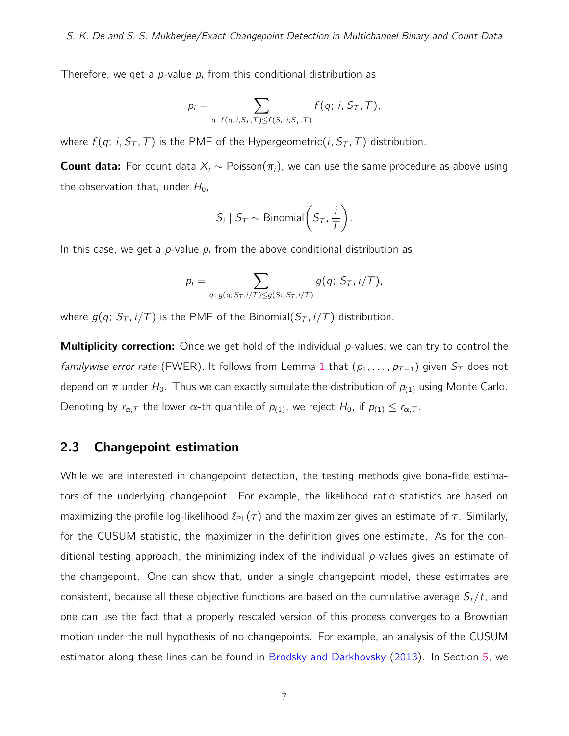Therefore, we get a *p*-value  $p_i$  from this conditional distribution as

$$
p_i = \sum_{q: f(q; i, S_T, T) \leq f(S_i; i, S_T, T)} f(q; i, S_T, T),
$$

where  $f(q; i, S_T, T)$  is the PMF of the Hypergeometric(i,  $S_T$ , T) distribution.

**Count data:** For count data  $X_i \sim \text{Poisson}(\pi_i)$ , we can use the same procedure as above using the observation that, under  $H_0$ ,

$$
S_i \mid S_T \sim \text{Binomial}\left(S_T, \frac{i}{T}\right).
$$

In this case, we get a p-value  $p_i$  from the above conditional distribution as

$$
p_i = \sum_{q: g(q; S_{\tau}, i/\mathcal{T}) \leq g(S_i; S_{\tau}, i/\mathcal{T})} g(q; S_{\tau}, i/\mathcal{T}),
$$

where  $g(q; S_T, i/T)$  is the PMF of the Binomial( $S_T, i/T$ ) distribution.

**Multiplicity correction:** Once we get hold of the individual  $p$ -values, we can try to control the familywise error rate (FWER). It follows from Lemma [1](#page-5-0) that  $(p_1, \ldots, p_{T-1})$  given  $S_T$  does not depend on  $\pi$  under  $H_0$ . Thus we can exactly simulate the distribution of  $p_{(1)}$  using Monte Carlo. Denoting by  $r_{\alpha,T}$  the lower  $\alpha$ -th quantile of  $p_{(1)}$ , we reject  $H_0$ , if  $p_{(1)} \le r_{\alpha,T}$ .

# <span id="page-6-0"></span>2.3 Changepoint estimation

While we are interested in changepoint detection, the testing methods give bona-fide estimators of the underlying changepoint. For example, the likelihood ratio statistics are based on maximizing the profile log-likelihood  $\ell_{PL}(\tau)$  and the maximizer gives an estimate of  $\tau$ . Similarly, for the CUSUM statistic, the maximizer in the definition gives one estimate. As for the conditional testing approach, the minimizing index of the individual  $p$ -values gives an estimate of the changepoint. One can show that, under a single changepoint model, these estimates are consistent, because all these objective functions are based on the cumulative average  $S_t/t$ , and one can use the fact that a properly rescaled version of this process converges to a Brownian motion under the null hypothesis of no changepoints. For example, an analysis of the CUSUM estimator along these lines can be found in [Brodsky and Darkhovsky](#page-18-1) [\(2013\)](#page-18-1). In Section [5,](#page-12-0) we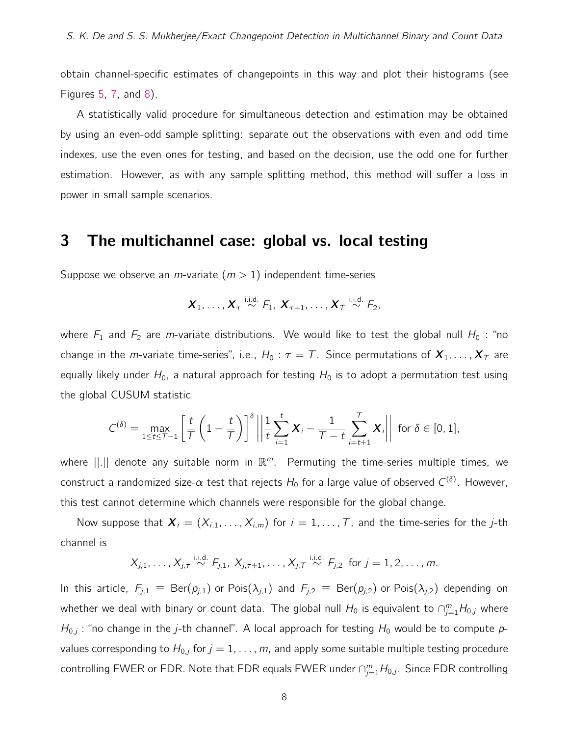obtain channel-specific estimates of changepoints in this way and plot their histograms (see Figures [5,](#page-14-0) [7,](#page-16-1) and [8\)](#page-16-2).

A statistically valid procedure for simultaneous detection and estimation may be obtained by using an even-odd sample splitting: separate out the observations with even and odd time indexes, use the even ones for testing, and based on the decision, use the odd one for further estimation. However, as with any sample splitting method, this method will suffer a loss in power in small sample scenarios.

## <span id="page-7-0"></span>3 The multichannel case: global vs. local testing

Suppose we observe an *m*-variate  $(m > 1)$  independent time-series

$$
\boldsymbol{X}_1, \ldots, \boldsymbol{X}_{\tau} \stackrel{\text{i.i.d.}}{\sim} F_1, \boldsymbol{X}_{\tau+1}, \ldots, \boldsymbol{X}_{\tau} \stackrel{\text{i.i.d.}}{\sim} F_2,
$$

where  $F_1$  and  $F_2$  are m-variate distributions. We would like to test the global null  $H_0$  : "no change in the *m*-variate time-series", i.e.,  $H_0: \tau = T$ . Since permutations of  $X_1, \ldots, X_T$  are equally likely under  $H_0$ , a natural approach for testing  $H_0$  is to adopt a permutation test using the global CUSUM statistic

$$
C^{(\delta)} = \max_{1 \leq t \leq T-1} \left[ \frac{t}{T} \left( 1 - \frac{t}{T} \right) \right]^{\delta} \left\| \frac{1}{t} \sum_{i=1}^{t} \mathbf{X}_i - \frac{1}{T-t} \sum_{i=t+1}^{T} \mathbf{X}_i \right\| \text{ for } \delta \in [0,1],
$$

where  $||.||$  denote any suitable norm in  $\mathbb{R}^m$ . Permuting the time-series multiple times, we construct a randomized size- $\alpha$  test that rejects  $H_0$  for a large value of observed  $C^{(\delta)}.$  However, this test cannot determine which channels were responsible for the global change.

Now suppose that  $X_i = (X_{i,1}, \ldots, X_{i,m})$  for  $i = 1, \ldots, T$ , and the time-series for the *j*-th channel is

$$
X_{j,1}, \ldots, X_{j,\tau} \stackrel{\text{i.i.d.}}{\sim} F_{j,1}, X_{j,\tau+1}, \ldots, X_{j,\tau} \stackrel{\text{i.i.d.}}{\sim} F_{j,2} \text{ for } j = 1, 2, \ldots, m.
$$

In this article,  $F_{j,1} \equiv \text{Ber}(p_{j,1})$  or Pois $(\lambda_{j,1})$  and  $F_{j,2} \equiv \text{Ber}(p_{j,2})$  or Pois $(\lambda_{j,2})$  depending on whether we deal with binary or count data. The global null  $H_0$  is equivalent to  $\cap_{j=1}^m H_{0,j}$  where  $H_{0,j}$ : "no change in the j-th channel". A local approach for testing  $H_0$  would be to compute pvalues corresponding to  $H_{0,j}$  for  $j = 1, \ldots, m$ , and apply some suitable multiple testing procedure controlling FWER or FDR. Note that FDR equals FWER under  $\cap_{j=1}^m H_{0,j}$ . Since FDR controlling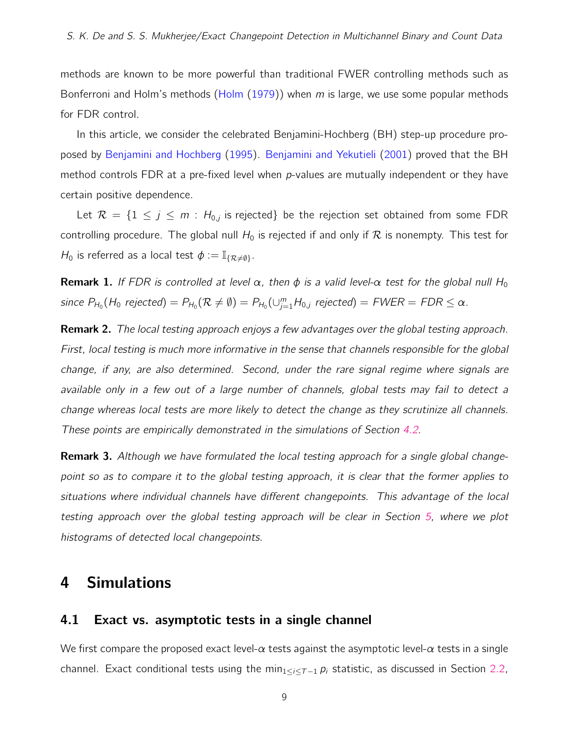methods are known to be more powerful than traditional FWER controlling methods such as Bonferroni and Holm's methods [\(Holm](#page-18-7)  $(1979)$ ) when m is large, we use some popular methods for FDR control.

In this article, we consider the celebrated Benjamini-Hochberg (BH) step-up procedure proposed by [Benjamini and Hochberg](#page-17-2) [\(1995\)](#page-17-2). [Benjamini and Yekutieli](#page-17-3) [\(2001\)](#page-17-3) proved that the BH method controls FDR at a pre-fixed level when p-values are mutually independent or they have certain positive dependence.

Let  $\mathcal{R} = \{1 \le j \le m : H_{0,j}$  is rejected} be the rejection set obtained from some FDR controlling procedure. The global null  $H_0$  is rejected if and only if  $R$  is nonempty. This test for  $H_0$  is referred as a local test  $\phi := \mathbb{I}_{\{R \neq \emptyset\}}$ .

**Remark 1.** If FDR is controlled at level  $\alpha$ , then  $\phi$  is a valid level- $\alpha$  test for the global null H<sub>0</sub> since  $P_{H_0}(H_0$  rejected) =  $P_{H_0}(\mathcal{R} \neq \emptyset) = P_{H_0}(\cup_{j=1}^m H_{0,j}$  rejected) =  $FWER = FDR \leq \alpha$ .

**Remark 2.** The local testing approach enjoys a few advantages over the global testing approach. First, local testing is much more informative in the sense that channels responsible for the global change, if any, are also determined. Second, under the rare signal regime where signals are available only in a few out of a large number of channels, global tests may fail to detect a change whereas local tests are more likely to detect the change as they scrutinize all channels. These points are empirically demonstrated in the simulations of Section [4.2.](#page-11-0)

**Remark 3.** Although we have formulated the local testing approach for a single global changepoint so as to compare it to the global testing approach, it is clear that the former applies to situations where individual channels have different changepoints. This advantage of the local testing approach over the global testing approach will be clear in Section [5,](#page-12-0) where we plot histograms of detected local changepoints.

# <span id="page-8-0"></span>4 Simulations

### <span id="page-8-1"></span>4.1 Exact vs. asymptotic tests in a single channel

We first compare the proposed exact level- $\alpha$  tests against the asymptotic level- $\alpha$  tests in a single channel. Exact conditional tests using the min<sub>1</sub>< $i$ < $\tau$  –1  $p_i$  statistic, as discussed in Section [2.2,](#page-5-1)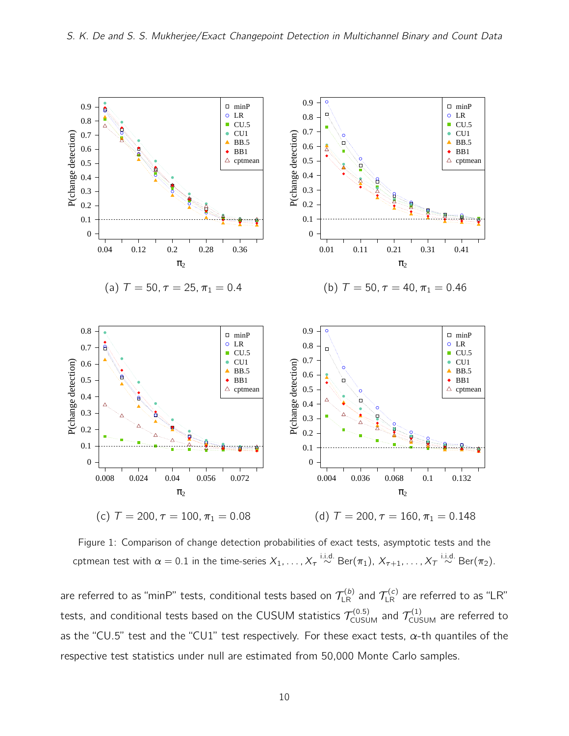<span id="page-9-0"></span>

Figure 1: Comparison of change detection probabilities of exact tests, asymptotic tests and the cptmean test with  $\alpha=0.1$  in the time-series  $X_1,\ldots,X_\tau \stackrel{\rm i.i.d.}{\sim} \mathrm{Ber}(\pi_1),\,X_{\tau+1},\ldots,X_\tau \stackrel{\rm i.i.d.}{\sim} \mathrm{Ber}(\pi_2).$ 

are referred to as "minP" tests, conditional tests based on  $\mathcal{T}^{(b)}_{\rm LR}$  and  $\mathcal{T}^{(c)}_{\rm LR}$  are referred to as "LR" tests, and conditional tests based on the CUSUM statistics  $\mathcal{T}_{\texttt{CUSUM}}^{(0.5)}$  and  $\mathcal{T}_{\texttt{CUSUM}}^{(1)}$  are referred to as the "CU.5" test and the "CU1" test respectively. For these exact tests,  $\alpha$ -th quantiles of the respective test statistics under null are estimated from 50,000 Monte Carlo samples.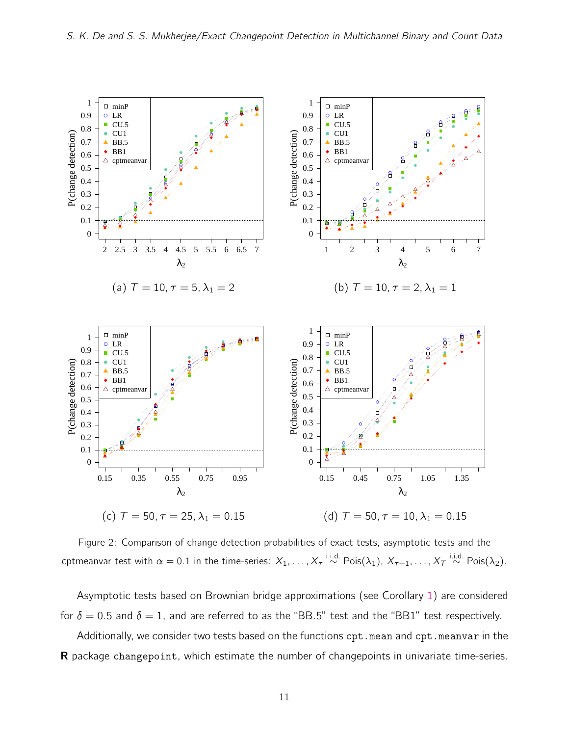<span id="page-10-0"></span>

Figure 2: Comparison of change detection probabilities of exact tests, asymptotic tests and the cptmeanvar test with  $\alpha=0.1$  in the time-series:  $X_1,\ldots,X_\tau \stackrel{\text{i.i.d.}}{\sim} \text{Pois}(\lambda_1),\,X_{\tau+1},\ldots,X_\tau \stackrel{\text{i.i.d.}}{\sim} \text{Pois}(\lambda_2).$ 

Asymptotic tests based on Brownian bridge approximations (see Corollary [1\)](#page-4-1) are considered for  $\delta = 0.5$  and  $\delta = 1$ , and are referred to as the "BB.5" test and the "BB1" test respectively.

Additionally, we consider two tests based on the functions cpt.mean and cpt.meanvar in the **R** package changepoint, which estimate the number of changepoints in univariate time-series.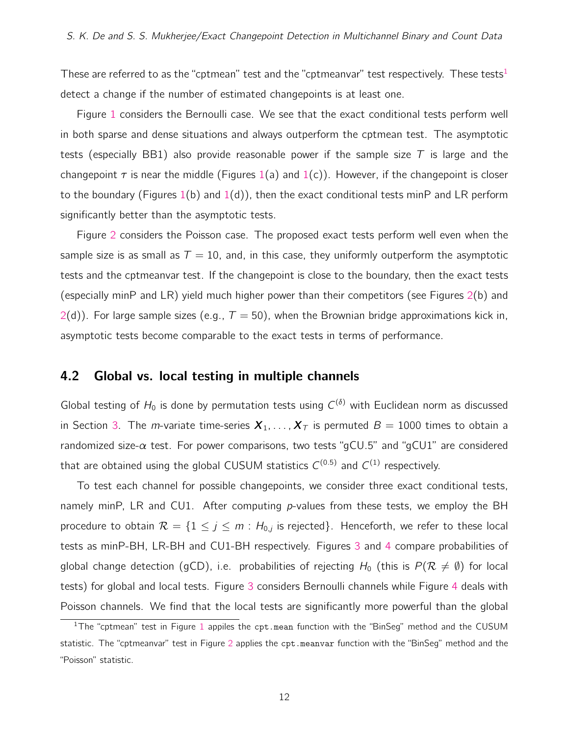These are referred to as the "cptmean" test and the "cptmeanvar" test respectively. These tests<sup>[1](#page-11-1)</sup> detect a change if the number of estimated changepoints is at least one.

Figure [1](#page-9-0) considers the Bernoulli case. We see that the exact conditional tests perform well in both sparse and dense situations and always outperform the cptmean test. The asymptotic tests (especially BB1) also provide reasonable power if the sample size T is large and the changepoint  $\tau$  is near the middle (Figures [1\(](#page-9-0)a) and 1(c)). However, if the changepoint is closer to the boundary (Figures [1\(](#page-9-0)b) and 1(d)), then the exact conditional tests minP and LR perform significantly better than the asymptotic tests.

Figure [2](#page-10-0) considers the Poisson case. The proposed exact tests perform well even when the sample size is as small as  $T = 10$ , and, in this case, they uniformly outperform the asymptotic tests and the cptmeanvar test. If the changepoint is close to the boundary, then the exact tests (especially minP and LR) yield much higher power than their competitors (see Figures [2\(](#page-10-0)b) and  $2(d)$  $2(d)$ ). For large sample sizes (e.g.,  $T = 50$ ), when the Brownian bridge approximations kick in, asymptotic tests become comparable to the exact tests in terms of performance.

### <span id="page-11-0"></span>4.2 Global vs. local testing in multiple channels

Global testing of  $H_0$  is done by permutation tests using  $C^{(\delta)}$  with Euclidean norm as discussed in Section [3.](#page-7-0) The *m*-variate time-series  $X_1, \ldots, X_T$  is permuted  $B = 1000$  times to obtain a randomized size- $\alpha$  test. For power comparisons, two tests "gCU.5" and "gCU1" are considered that are obtained using the global CUSUM statistics  $C^{(0.5)}$  and  $C^{(1)}$  respectively.

To test each channel for possible changepoints, we consider three exact conditional tests, namely minP, LR and CU1. After computing  $p$ -values from these tests, we employ the BH procedure to obtain  $\mathcal{R} = \{1 \le j \le m : H_{0,j} \text{ is rejected}\}.$  Henceforth, we refer to these local tests as minP-BH, LR-BH and CU1-BH respectively. Figures [3](#page-12-1) and [4](#page-13-0) compare probabilities of global change detection (gCD), i.e. probabilities of rejecting  $H_0$  (this is  $P(\mathcal{R}\neq\emptyset)$  for local tests) for global and local tests. Figure [3](#page-12-1) considers Bernoulli channels while Figure [4](#page-13-0) deals with Poisson channels. We find that the local tests are significantly more powerful than the global

<span id="page-11-1"></span><sup>&</sup>lt;sup>[1](#page-9-0)</sup>The "cptmean" test in Figure 1 appiles the cpt.mean function with the "BinSeg" method and the CUSUM statistic. The "cptmeanvar" test in Figure [2](#page-10-0) applies the cpt.meanvar function with the "BinSeg" method and the "Poisson" statistic.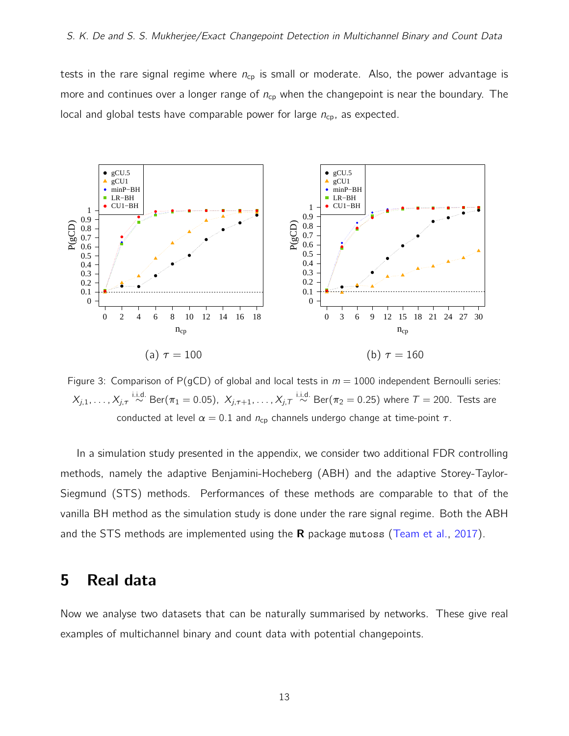tests in the rare signal regime where  $n_{cp}$  is small or moderate. Also, the power advantage is more and continues over a longer range of  $n_{cp}$  when the changepoint is near the boundary. The local and global tests have comparable power for large  $n_{cp}$ , as expected.

<span id="page-12-1"></span>

Figure 3: Comparison of P(gCD) of global and local tests in  $m = 1000$  independent Bernoulli series:  $X_{j,1},\ldots,X_{j,\tau}\stackrel{\textup{i.i.d.}}{\sim}\textup{Ber}(\pi_1=0.05),\,\,X_{j,\tau+1},\ldots,X_{j,\tau}\stackrel{\textup{i.i.d.}}{\sim}\textup{Ber}(\pi_2=0.25)$  where  $\tau=$  200. Tests are conducted at level  $\alpha = 0.1$  and  $n_{cp}$  channels undergo change at time-point  $\tau$ .

In a simulation study presented in the appendix, we consider two additional FDR controlling methods, namely the adaptive Benjamini-Hocheberg (ABH) and the adaptive Storey-Taylor-Siegmund (STS) methods. Performances of these methods are comparable to that of the vanilla BH method as the simulation study is done under the rare signal regime. Both the ABH and the STS methods are implemented using the **R** package mutoss [\(Team et al.,](#page-19-10) [2017\)](#page-19-10).

# <span id="page-12-0"></span>5 Real data

Now we analyse two datasets that can be naturally summarised by networks. These give real examples of multichannel binary and count data with potential changepoints.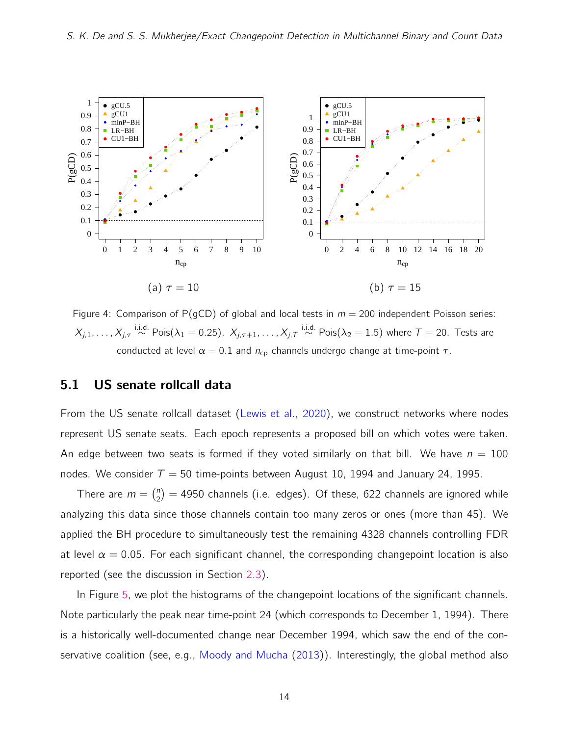<span id="page-13-0"></span>

Figure 4: Comparison of P(gCD) of global and local tests in  $m = 200$  independent Poisson series:  $X_{j,1},\ldots,X_{j,\tau}\stackrel{\text{i.i.d.}}{\sim}\textsf{Pois}(\lambda_1=0.25),\,\,X_{j,\tau+1},\ldots,X_{j,\tau}\stackrel{\text{i.i.d.}}{\sim}\textsf{Pois}(\lambda_2=1.5)$  where  $\mathcal{T}=20.$  Tests are conducted at level  $\alpha = 0.1$  and  $n_{cp}$  channels undergo change at time-point  $\tau$ .

# 5.1 US senate rollcall data

From the US senate rollcall dataset [\(Lewis et al.,](#page-18-8) [2020\)](#page-18-8), we construct networks where nodes represent US senate seats. Each epoch represents a proposed bill on which votes were taken. An edge between two seats is formed if they voted similarly on that bill. We have  $n = 100$ nodes. We consider  $T = 50$  time-points between August 10, 1994 and January 24, 1995.

There are  $m = \binom{n}{2}$  $\binom{n}{2} = 4950$  channels (i.e. edges). Of these, 622 channels are ignored while analyzing this data since those channels contain too many zeros or ones (more than 45). We applied the BH procedure to simultaneously test the remaining 4328 channels controlling FDR at level  $\alpha = 0.05$ . For each significant channel, the corresponding changepoint location is also reported (see the discussion in Section [2.3\)](#page-6-0).

In Figure [5,](#page-14-0) we plot the histograms of the changepoint locations of the significant channels. Note particularly the peak near time-point 24 (which corresponds to December 1, 1994). There is a historically well-documented change near December 1994, which saw the end of the con-servative coalition (see, e.g., [Moody and Mucha](#page-18-9) [\(2013\)](#page-18-9)). Interestingly, the global method also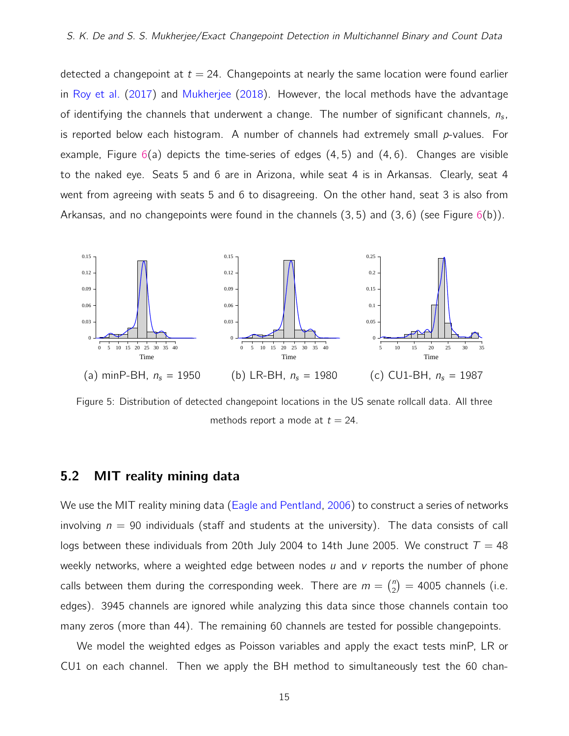detected a changepoint at  $t = 24$ . Changepoints at nearly the same location were found earlier in [Roy et al.](#page-19-6) [\(2017\)](#page-19-6) and [Mukherjee](#page-18-6) [\(2018\)](#page-18-6). However, the local methods have the advantage of identifying the channels that underwent a change. The number of significant channels,  $n_s$ , is reported below each histogram. A number of channels had extremely small  $p$ -values. For example, Figure  $6(a)$  $6(a)$  depicts the time-series of edges  $(4, 5)$  and  $(4, 6)$ . Changes are visible to the naked eye. Seats 5 and 6 are in Arizona, while seat 4 is in Arkansas. Clearly, seat 4 went from agreeing with seats 5 and 6 to disagreeing. On the other hand, seat 3 is also from Arkansas, and no changepoints were found in the channels  $(3, 5)$  and  $(3, 6)$  (see Figure [6\(](#page-15-0)b)).

<span id="page-14-0"></span>

Figure 5: Distribution of detected changepoint locations in the US senate rollcall data. All three methods report a mode at  $t = 24$ .

### 5.2 MIT reality mining data

We use the MIT reality mining data [\(Eagle and Pentland,](#page-18-10) [2006\)](#page-18-10) to construct a series of networks involving  $n = 90$  individuals (staff and students at the university). The data consists of call logs between these individuals from 20th July 2004 to 14th June 2005. We construct  $T = 48$ weekly networks, where a weighted edge between nodes  $\mu$  and  $\nu$  reports the number of phone calls between them during the corresponding week. There are  $m = {n \choose 2}$  $\binom{n}{2}$  = 4005 channels (i.e. edges). 3945 channels are ignored while analyzing this data since those channels contain too many zeros (more than 44). The remaining 60 channels are tested for possible changepoints.

We model the weighted edges as Poisson variables and apply the exact tests minP, LR or CU1 on each channel. Then we apply the BH method to simultaneously test the 60 chan-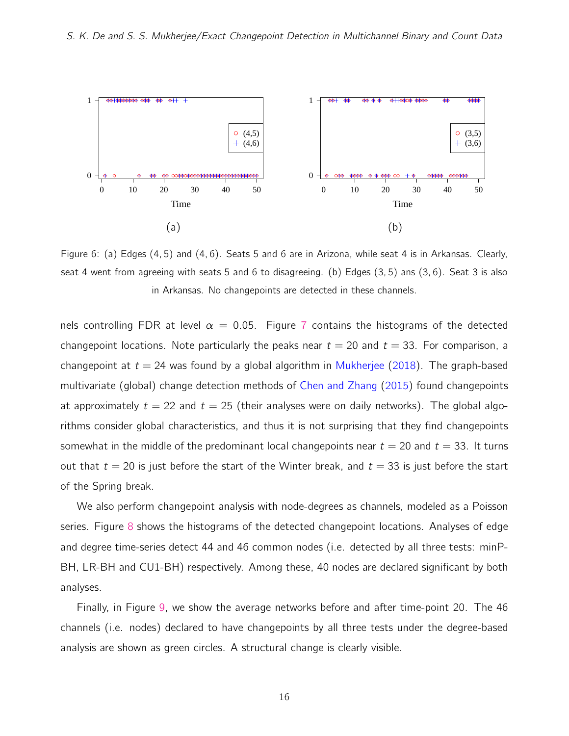<span id="page-15-0"></span>

Figure 6: (a) Edges (4, 5) and (4, 6). Seats 5 and 6 are in Arizona, while seat 4 is in Arkansas. Clearly, seat 4 went from agreeing with seats 5 and 6 to disagreeing. (b) Edges (3, 5) ans (3, 6). Seat 3 is also in Arkansas. No changepoints are detected in these channels.

nels controlling FDR at level  $\alpha = 0.05$ . Figure [7](#page-16-1) contains the histograms of the detected changepoint locations. Note particularly the peaks near  $t = 20$  and  $t = 33$ . For comparison, a changepoint at  $t = 24$  was found by a global algorithm in [Mukherjee](#page-18-6) [\(2018\)](#page-18-6). The graph-based multivariate (global) change detection methods of [Chen and Zhang](#page-18-5) [\(2015\)](#page-18-5) found changepoints at approximately  $t = 22$  and  $t = 25$  (their analyses were on daily networks). The global algorithms consider global characteristics, and thus it is not surprising that they find changepoints somewhat in the middle of the predominant local changepoints near  $t = 20$  and  $t = 33$ . It turns out that  $t = 20$  is just before the start of the Winter break, and  $t = 33$  is just before the start of the Spring break.

We also perform changepoint analysis with node-degrees as channels, modeled as a Poisson series. Figure [8](#page-16-2) shows the histograms of the detected changepoint locations. Analyses of edge and degree time-series detect 44 and 46 common nodes (i.e. detected by all three tests: minP-BH, LR-BH and CU1-BH) respectively. Among these, 40 nodes are declared significant by both analyses.

Finally, in Figure [9,](#page-17-4) we show the average networks before and after time-point 20. The 46 channels (i.e. nodes) declared to have changepoints by all three tests under the degree-based analysis are shown as green circles. A structural change is clearly visible.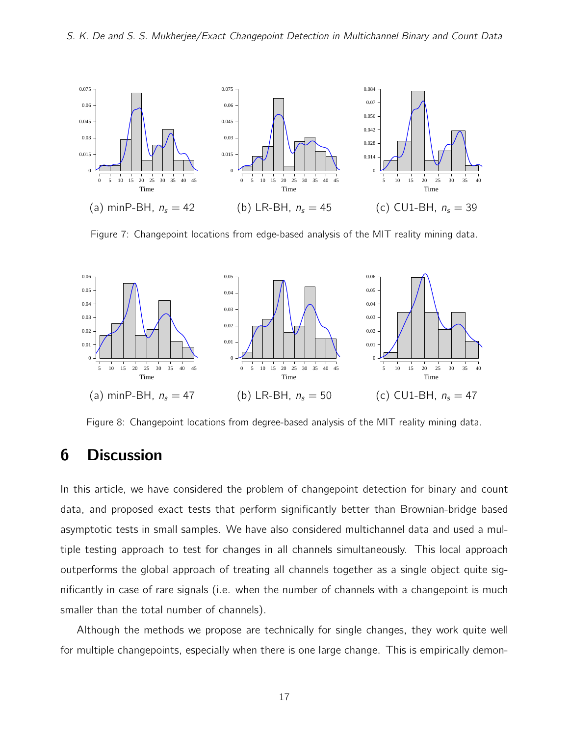<span id="page-16-1"></span>

Figure 7: Changepoint locations from edge-based analysis of the MIT reality mining data.

<span id="page-16-2"></span>

Figure 8: Changepoint locations from degree-based analysis of the MIT reality mining data.

# <span id="page-16-0"></span>6 Discussion

In this article, we have considered the problem of changepoint detection for binary and count data, and proposed exact tests that perform significantly better than Brownian-bridge based asymptotic tests in small samples. We have also considered multichannel data and used a multiple testing approach to test for changes in all channels simultaneously. This local approach outperforms the global approach of treating all channels together as a single object quite significantly in case of rare signals (i.e. when the number of channels with a changepoint is much smaller than the total number of channels).

Although the methods we propose are technically for single changes, they work quite well for multiple changepoints, especially when there is one large change. This is empirically demon-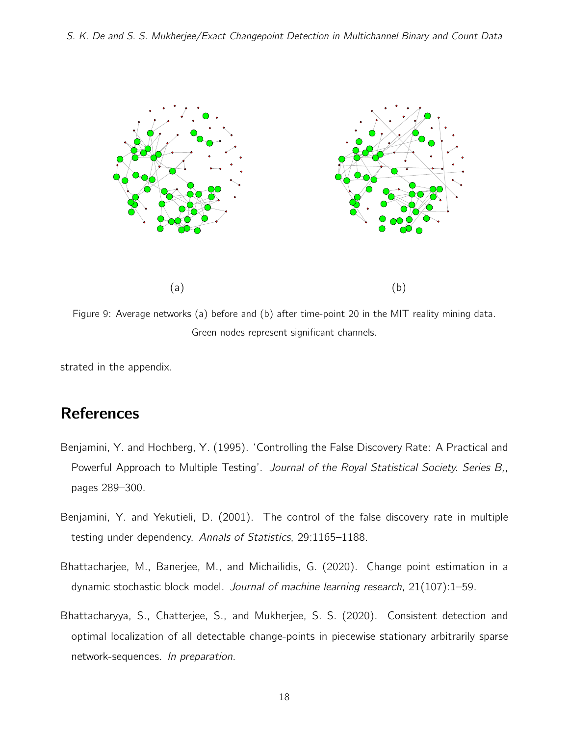<span id="page-17-4"></span>

Figure 9: Average networks (a) before and (b) after time-point 20 in the MIT reality mining data. Green nodes represent significant channels.

strated in the appendix.

# **References**

- <span id="page-17-2"></span>Benjamini, Y. and Hochberg, Y. (1995). 'Controlling the False Discovery Rate: A Practical and Powerful Approach to Multiple Testing'. Journal of the Royal Statistical Society. Series B., pages 289–300.
- <span id="page-17-3"></span>Benjamini, Y. and Yekutieli, D. (2001). The control of the false discovery rate in multiple testing under dependency. Annals of Statistics, 29:1165–1188.
- <span id="page-17-0"></span>Bhattacharjee, M., Banerjee, M., and Michailidis, G. (2020). Change point estimation in a dynamic stochastic block model. Journal of machine learning research, 21(107):1–59.
- <span id="page-17-1"></span>Bhattacharyya, S., Chatterjee, S., and Mukherjee, S. S. (2020). Consistent detection and optimal localization of all detectable change-points in piecewise stationary arbitrarily sparse network-sequences. In preparation.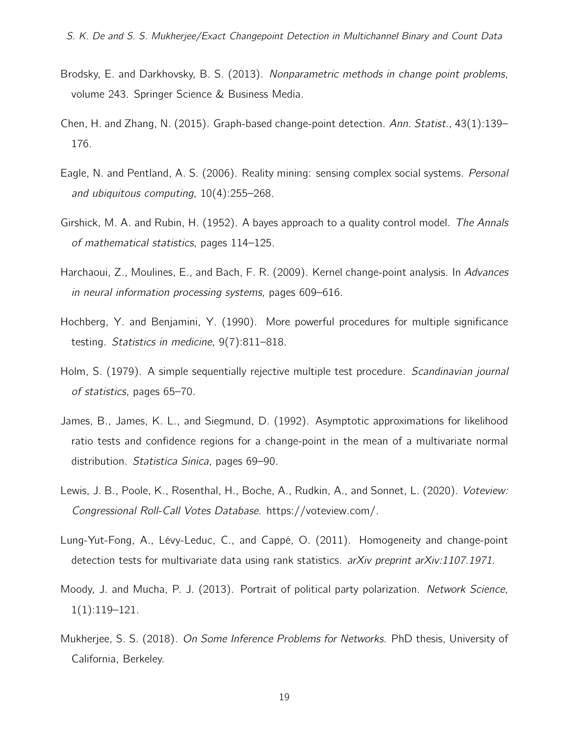- <span id="page-18-1"></span>Brodsky, E. and Darkhovsky, B. S. (2013). Nonparametric methods in change point problems, volume 243. Springer Science & Business Media.
- <span id="page-18-5"></span>Chen, H. and Zhang, N. (2015). Graph-based change-point detection. Ann. Statist., 43(1):139– 176.
- <span id="page-18-10"></span>Eagle, N. and Pentland, A. S. (2006). Reality mining: sensing complex social systems. Personal and ubiquitous computing, 10(4):255–268.
- <span id="page-18-0"></span>Girshick, M. A. and Rubin, H. (1952). A bayes approach to a quality control model. The Annals of mathematical statistics, pages 114–125.
- <span id="page-18-3"></span>Harchaoui, Z., Moulines, E., and Bach, F. R. (2009). Kernel change-point analysis. In Advances in neural information processing systems, pages 609–616.
- <span id="page-18-11"></span>Hochberg, Y. and Benjamini, Y. (1990). More powerful procedures for multiple significance testing. Statistics in medicine, 9(7):811–818.
- <span id="page-18-7"></span>Holm, S. (1979). A simple sequentially rejective multiple test procedure. *Scandinavian journal* of statistics, pages 65–70.
- <span id="page-18-2"></span>James, B., James, K. L., and Siegmund, D. (1992). Asymptotic approximations for likelihood ratio tests and confidence regions for a change-point in the mean of a multivariate normal distribution. Statistica Sinica, pages 69–90.
- <span id="page-18-8"></span>Lewis, J. B., Poole, K., Rosenthal, H., Boche, A., Rudkin, A., and Sonnet, L. (2020). Voteview: Congressional Roll-Call Votes Database. https://voteview.com/.
- <span id="page-18-4"></span>Lung-Yut-Fong, A., Lévy-Leduc, C., and Cappé, O. (2011). Homogeneity and change-point detection tests for multivariate data using rank statistics.  $arXiv$  preprint  $arXiv:1107.1971$ .
- <span id="page-18-9"></span>Moody, J. and Mucha, P. J. (2013). Portrait of political party polarization. Network Science, 1(1):119–121.
- <span id="page-18-6"></span>Mukherjee, S. S. (2018). On Some Inference Problems for Networks. PhD thesis, University of California, Berkeley.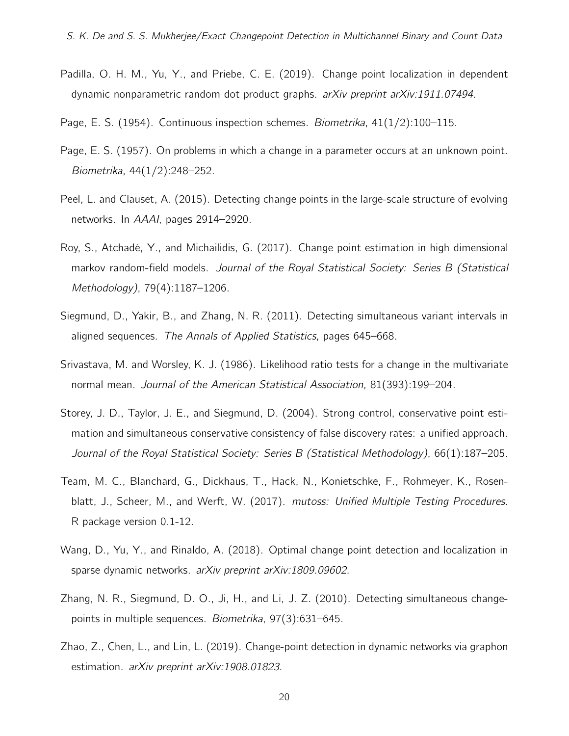- <span id="page-19-8"></span>Padilla, O. H. M., Yu, Y., and Priebe, C. E. (2019). Change point localization in dependent dynamic nonparametric random dot product graphs. arXiv preprint arXiv:1911.07494.
- <span id="page-19-0"></span>Page, E. S. (1954). Continuous inspection schemes. Biometrika, 41(1/2):100-115.
- <span id="page-19-1"></span>Page, E. S. (1957). On problems in which a change in a parameter occurs at an unknown point. Biometrika, 44(1/2):248–252.
- <span id="page-19-5"></span>Peel, L. and Clauset, A. (2015). Detecting change points in the large-scale structure of evolving networks. In AAAI, pages 2914–2920.
- <span id="page-19-6"></span>Roy, S., Atchadé, Y., and Michailidis, G. (2017). Change point estimation in high dimensional markov random-field models. Journal of the Royal Statistical Society: Series B (Statistical Methodology), 79(4):1187–1206.
- <span id="page-19-3"></span>Siegmund, D., Yakir, B., and Zhang, N. R. (2011). Detecting simultaneous variant intervals in aligned sequences. The Annals of Applied Statistics, pages 645–668.
- <span id="page-19-4"></span>Srivastava, M. and Worsley, K. J. (1986). Likelihood ratio tests for a change in the multivariate normal mean. Journal of the American Statistical Association, 81(393):199–204.
- <span id="page-19-11"></span>Storey, J. D., Taylor, J. E., and Siegmund, D. (2004). Strong control, conservative point estimation and simultaneous conservative consistency of false discovery rates: a unified approach. Journal of the Royal Statistical Society: Series B (Statistical Methodology), 66(1):187–205.
- <span id="page-19-10"></span>Team, M. C., Blanchard, G., Dickhaus, T., Hack, N., Konietschke, F., Rohmeyer, K., Rosenblatt, J., Scheer, M., and Werft, W. (2017). mutoss: Unified Multiple Testing Procedures. R package version 0.1-12.
- <span id="page-19-7"></span>Wang, D., Yu, Y., and Rinaldo, A. (2018). Optimal change point detection and localization in sparse dynamic networks. arXiv preprint arXiv:1809.09602.
- <span id="page-19-2"></span>Zhang, N. R., Siegmund, D. O., Ji, H., and Li, J. Z. (2010). Detecting simultaneous changepoints in multiple sequences. Biometrika, 97(3):631–645.
- <span id="page-19-9"></span>Zhao, Z., Chen, L., and Lin, L. (2019). Change-point detection in dynamic networks via graphon estimation. arXiv preprint arXiv:1908.01823.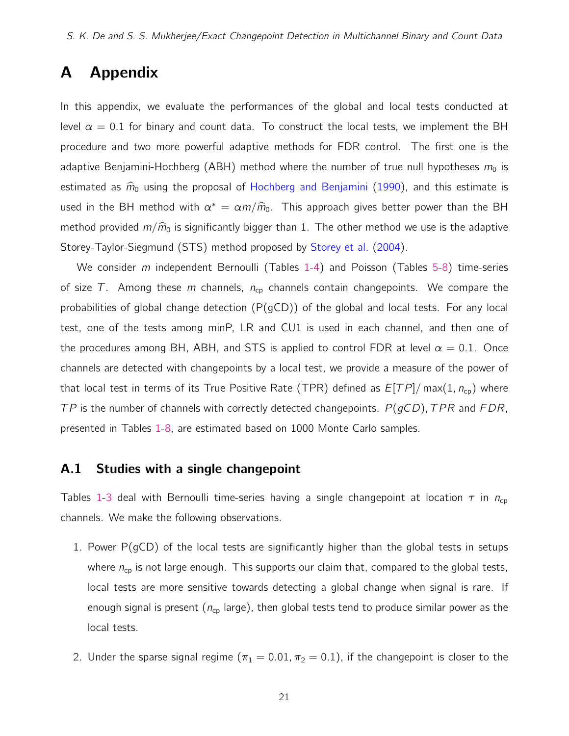# A Appendix

In this appendix, we evaluate the performances of the global and local tests conducted at level  $\alpha = 0.1$  for binary and count data. To construct the local tests, we implement the BH procedure and two more powerful adaptive methods for FDR control. The first one is the adaptive Benjamini-Hochberg (ABH) method where the number of true null hypotheses  $m_0$  is estimated as  $\hat{m}_0$  using the proposal of [Hochberg and Benjamini](#page-18-11) [\(1990\)](#page-18-11), and this estimate is used in the BH method with  $\alpha^* = \alpha m / \hat{m}_0$ . This approach gives better power than the BH method provided  $m/\hat{m}_0$  is significantly bigger than 1. The other method we use is the adaptive Storey-Taylor-Siegmund (STS) method proposed by [Storey et al.](#page-19-11) [\(2004\)](#page-19-11).

We consider  $m$  independent Bernoulli (Tables [1-](#page-23-0)[4\)](#page-26-0) and Poisson (Tables [5-](#page-27-0)[8\)](#page-30-0) time-series of size T. Among these m channels,  $n_{cp}$  channels contain changepoints. We compare the probabilities of global change detection (P(gCD)) of the global and local tests. For any local test, one of the tests among minP, LR and CU1 is used in each channel, and then one of the procedures among BH, ABH, and STS is applied to control FDR at level  $\alpha = 0.1$ . Once channels are detected with changepoints by a local test, we provide a measure of the power of that local test in terms of its True Positive Rate (TPR) defined as  $E[TP]/\max(1, n_{cp})$  where  $TP$  is the number of channels with correctly detected changepoints.  $P(gCD)$ , TPR and FDR, presented in Tables [1](#page-23-0)[-8,](#page-30-0) are estimated based on 1000 Monte Carlo samples.

### A.1 Studies with a single changepoint

Tables [1](#page-23-0)[-3](#page-25-0) deal with Bernoulli time-series having a single changepoint at location  $\tau$  in  $n_{cp}$ channels. We make the following observations.

- 1. Power  $P(gCD)$  of the local tests are significantly higher than the global tests in setups where  $n_{cp}$  is not large enough. This supports our claim that, compared to the global tests, local tests are more sensitive towards detecting a global change when signal is rare. If enough signal is present ( $n_{cp}$  large), then global tests tend to produce similar power as the local tests.
- 2. Under the sparse signal regime ( $\pi_1 = 0.01$ ,  $\pi_2 = 0.1$ ), if the changepoint is closer to the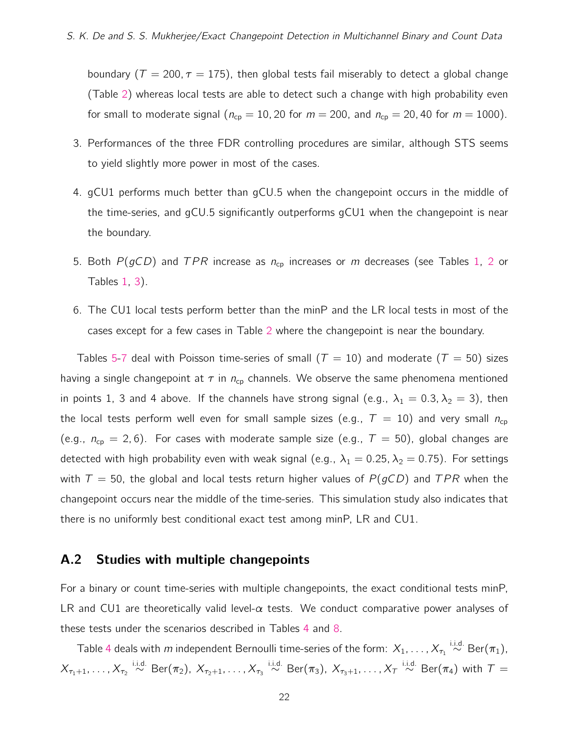boundary ( $T = 200, \tau = 175$ ), then global tests fail miserably to detect a global change (Table [2\)](#page-24-0) whereas local tests are able to detect such a change with high probability even for small to moderate signal ( $n_{cp} = 10$ , 20 for  $m = 200$ , and  $n_{cp} = 20$ , 40 for  $m = 1000$ ).

- 3. Performances of the three FDR controlling procedures are similar, although STS seems to yield slightly more power in most of the cases.
- 4. gCU1 performs much better than gCU.5 when the changepoint occurs in the middle of the time-series, and gCU.5 significantly outperforms gCU1 when the changepoint is near the boundary.
- 5. Both  $P(gCD)$  and TPR increase as  $n_{cp}$  increases or m decreases (see Tables [1,](#page-23-0) [2](#page-24-0) or Tables [1,](#page-23-0) [3\)](#page-25-0).
- 6. The CU1 local tests perform better than the minP and the LR local tests in most of the cases except for a few cases in Table [2](#page-24-0) where the changepoint is near the boundary.

Tables [5](#page-27-0)[-7](#page-29-0) deal with Poisson time-series of small ( $T = 10$ ) and moderate ( $T = 50$ ) sizes having a single changepoint at  $\tau$  in  $n_{cp}$  channels. We observe the same phenomena mentioned in points 1, 3 and 4 above. If the channels have strong signal (e.g.,  $\lambda_1 = 0.3, \lambda_2 = 3$ ), then the local tests perform well even for small sample sizes (e.g.,  $T = 10$ ) and very small  $n_{cp}$ (e.g.,  $n_{cp} = 2, 6$ ). For cases with moderate sample size (e.g.,  $T = 50$ ), global changes are detected with high probability even with weak signal (e.g.,  $\lambda_1 = 0.25$ ,  $\lambda_2 = 0.75$ ). For settings with  $T = 50$ , the global and local tests return higher values of  $P(gCD)$  and  $TPR$  when the changepoint occurs near the middle of the time-series. This simulation study also indicates that there is no uniformly best conditional exact test among minP, LR and CU1.

### A.2 Studies with multiple changepoints

For a binary or count time-series with multiple changepoints, the exact conditional tests minP, LR and CU1 are theoretically valid level- $\alpha$  tests. We conduct comparative power analyses of these tests under the scenarios described in Tables [4](#page-26-0) and [8.](#page-30-0)

Table [4](#page-26-0) deals with  $m$  independent Bernoulli time-series of the form:  $X_1,\ldots,X_{\tau_1}\stackrel{\text{i.i.d.}}{\sim}\text{Ber}(\pi_1)$ ,  $X_{\tau_1+1},\ldots,X_{\tau_2}\stackrel{\text{i.i.d.}}{\sim}\text{Ber}(\pi_2),\ X_{\tau_2+1},\ldots,X_{\tau_3}\stackrel{\text{i.i.d.}}{\sim}\text{Ber}(\pi_3),\ X_{\tau_3+1},\ldots,X_{\tau}\stackrel{\text{i.i.d.}}{\sim}\text{Ber}(\pi_4) \text{ with } \mathcal{T}=$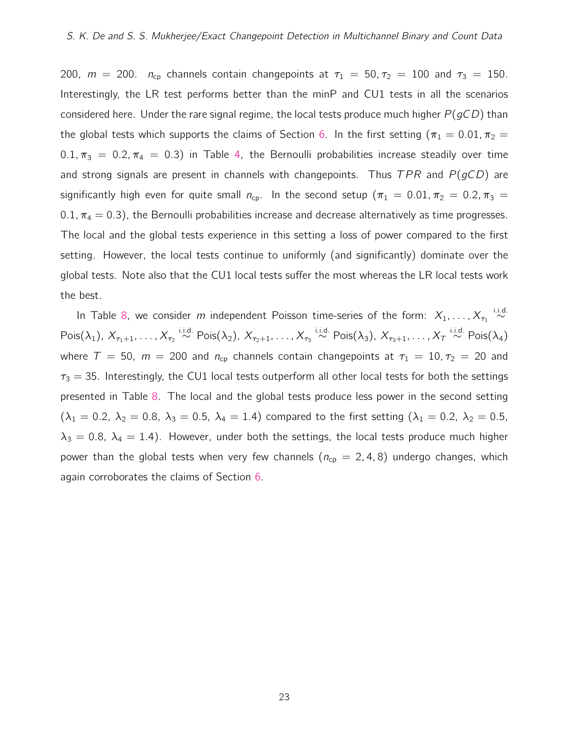200,  $m = 200$ .  $n_{cp}$  channels contain changepoints at  $\tau_1 = 50$ ,  $\tau_2 = 100$  and  $\tau_3 = 150$ . Interestingly, the LR test performs better than the minP and CU1 tests in all the scenarios considered here. Under the rare signal regime, the local tests produce much higher  $P(qCD)$  than the global tests which supports the claims of Section [6.](#page-16-0) In the first setting ( $\pi_1 = 0.01$ ,  $\pi_2 =$ 0.1,  $\pi_3 = 0.2$ ,  $\pi_4 = 0.3$ ) in Table [4,](#page-26-0) the Bernoulli probabilities increase steadily over time and strong signals are present in channels with changepoints. Thus  $TPR$  and  $P(gCD)$  are significantly high even for quite small  $n_{cp}$ . In the second setup ( $\pi_1 = 0.01$ ,  $\pi_2 = 0.2$ ,  $\pi_3 =$ 0.1,  $\pi_4 = 0.3$ ), the Bernoulli probabilities increase and decrease alternatively as time progresses. The local and the global tests experience in this setting a loss of power compared to the first setting. However, the local tests continue to uniformly (and significantly) dominate over the global tests. Note also that the CU1 local tests suffer the most whereas the LR local tests work the best.

In Table [8,](#page-30-0) we consider  $m$  independent Poisson time-series of the form:  $X_1, \ldots, X_{\tau_1} \stackrel{\text{i.i.d.}}{\sim}$  $\mathsf{Pois}(\lambda_1),\ X_{\tau_1+1},\dots, X_{\tau_2}\overset{\mathsf{i.i.d.}}{\sim}\mathsf{Pois}(\lambda_2),\ X_{\tau_2+1},\dots, X_{\tau_3}\overset{\mathsf{i.i.d.}}{\sim}\mathsf{Pois}(\lambda_3),\ X_{\tau_3+1},\dots, X_{\tau}\overset{\mathsf{i.i.d.}}{\sim}\mathsf{Pois}(\lambda_4)$ where  $T = 50$ ,  $m = 200$  and  $n_{cp}$  channels contain changepoints at  $\tau_1 = 10, \tau_2 = 20$  and  $\tau_3 = 35$ . Interestingly, the CU1 local tests outperform all other local tests for both the settings presented in Table [8.](#page-30-0) The local and the global tests produce less power in the second setting  $(\lambda_1 = 0.2, \lambda_2 = 0.8, \lambda_3 = 0.5, \lambda_4 = 1.4)$  compared to the first setting  $(\lambda_1 = 0.2, \lambda_2 = 0.5,$  $\lambda_3 = 0.8$ ,  $\lambda_4 = 1.4$ ). However, under both the settings, the local tests produce much higher power than the global tests when very few channels ( $n_{cp} = 2, 4, 8$ ) undergo changes, which again corroborates the claims of Section [6.](#page-16-0)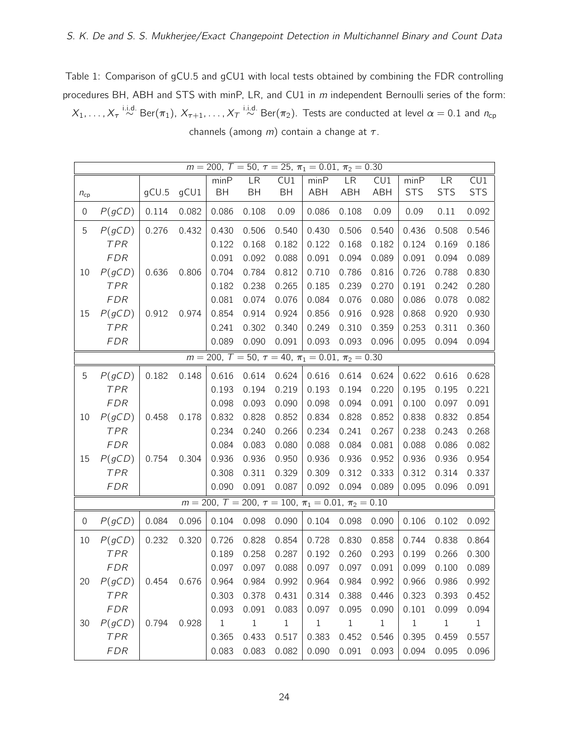<span id="page-23-0"></span>Table 1: Comparison of gCU.5 and gCU1 with local tests obtained by combining the FDR controlling procedures BH, ABH and STS with minP, LR, and CU1 in m independent Bernoulli series of the form:

 $X_1,\ldots,X_\tau \stackrel{\text{i.i.d.}}{\sim} \text{Ber}(\pi_1),\,X_{\tau+1},\ldots,X_\tau \stackrel{\text{i.i.d.}}{\sim} \text{Ber}(\pi_2).$  Tests are conducted at level  $\alpha=0.1$  and  $n_\text{cp}$ channels (among  $m$ ) contain a change at  $\tau$ .

|                  | $m = 200$ , $T = 50$ , $\tau = 25$ , $\pi_1 = 0.01$ , $\pi_2 = 0.30$ |       |       |           |                                                                        |              |             |            |            |            |            |              |
|------------------|----------------------------------------------------------------------|-------|-------|-----------|------------------------------------------------------------------------|--------------|-------------|------------|------------|------------|------------|--------------|
|                  |                                                                      |       |       | minP      | <b>LR</b>                                                              | CU1          | minP        | <b>LR</b>  | CU1        | minP       | LR         | CU1          |
| $n_{cp}$         |                                                                      | gCU.5 | gCU1  | <b>BH</b> | <b>BH</b>                                                              | <b>BH</b>    | ABH         | <b>ABH</b> | <b>ABH</b> | <b>STS</b> | <b>STS</b> | <b>STS</b>   |
| 0                | P(gCD)                                                               | 0.114 | 0.082 | 0.086     | 0.108                                                                  | 0.09         | 0.086       | 0.108      | 0.09       | 0.09       | 0.11       | 0.092        |
| 5                | P(gCD)                                                               | 0.276 | 0.432 | 0.430     | 0.506                                                                  | 0.540        | 0.430       | 0.506      | 0.540      | 0.436      | 0.508      | 0.546        |
|                  | TPR                                                                  |       |       | 0.122     | 0.168                                                                  | 0.182        | 0.122       | 0.168      | 0.182      | 0.124      | 0.169      | 0.186        |
|                  | <b>FDR</b>                                                           |       |       | 0.091     | 0.092                                                                  | 0.088        | 0.091       | 0.094      | 0.089      | 0.091      | 0.094      | 0.089        |
| 10               | P(gCD)                                                               | 0.636 | 0.806 | 0.704     | 0.784                                                                  | 0.812        | 0.710       | 0.786      | 0.816      | 0.726      | 0.788      | 0.830        |
|                  | <b>TPR</b>                                                           |       |       | 0.182     | 0.238                                                                  | 0.265        | 0.185       | 0.239      | 0.270      | 0.191      | 0.242      | 0.280        |
|                  | <b>FDR</b>                                                           |       |       | 0.081     | 0.074                                                                  | 0.076        | 0.084       | 0.076      | 0.080      | 0.086      | 0.078      | 0.082        |
| 15               | P(gCD)                                                               | 0.912 | 0.974 | 0.854     | 0.914                                                                  | 0.924        | 0.856       | 0.916      | 0.928      | 0.868      | 0.920      | 0.930        |
|                  | <b>TPR</b>                                                           |       |       | 0.241     | 0.302                                                                  | 0.340        | 0.249       | 0.310      | 0.359      | 0.253      | 0.311      | 0.360        |
|                  | <b>FDR</b>                                                           |       |       | 0.089     | 0.090                                                                  | 0.091        | 0.093       | 0.093      | 0.096      | 0.095      | 0.094      | 0.094        |
|                  |                                                                      |       |       |           | $m = 200$ , $T = 50$ , $\tau = 40$ , $\pi_1 = 0.01$ , $\pi_2 = 0.30$   |              |             |            |            |            |            |              |
| 5                | P(gCD)                                                               | 0.182 | 0.148 | 0.616     | 0.614                                                                  | 0.624        | 0.616       | 0.614      | 0.624      | 0.622      | 0.616      | 0.628        |
|                  | TPR                                                                  |       |       | 0.193     | 0.194                                                                  | 0.219        | 0.193       | 0.194      | 0.220      | 0.195      | 0.195      | 0.221        |
|                  | <b>FDR</b>                                                           |       |       | 0.098     | 0.093                                                                  | 0.090        | 0.098       | 0.094      | 0.091      | 0.100      | 0.097      | 0.091        |
| 10               | P(gCD)                                                               | 0.458 | 0.178 | 0.832     | 0.828                                                                  | 0.852        | 0.834       | 0.828      | 0.852      | 0.838      | 0.832      | 0.854        |
|                  | <b>TPR</b>                                                           |       |       | 0.234     | 0.240                                                                  | 0.266        | 0.234       | 0.241      | 0.267      | 0.238      | 0.243      | 0.268        |
|                  | <b>FDR</b>                                                           |       |       | 0.084     | 0.083                                                                  | 0.080        | 0.088       | 0.084      | 0.081      | 0.088      | 0.086      | 0.082        |
| 15               | P(gCD)                                                               | 0.754 | 0.304 | 0.936     | 0.936                                                                  | 0.950        | 0.936       | 0.936      | 0.952      | 0.936      | 0.936      | 0.954        |
|                  | <b>TPR</b>                                                           |       |       | 0.308     | 0.311                                                                  | 0.329        | 0.309       | 0.312      | 0.333      | 0.312      | 0.314      | 0.337        |
|                  | <b>FDR</b>                                                           |       |       | 0.090     | 0.091                                                                  | 0.087        | 0.092       | 0.094      | 0.089      | 0.095      | 0.096      | 0.091        |
|                  |                                                                      |       |       |           | $m = 200$ , $T = 200$ , $\tau = 100$ , $\pi_1 = 0.01$ , $\pi_2 = 0.10$ |              |             |            |            |            |            |              |
| $\boldsymbol{0}$ | P(gCD)                                                               | 0.084 | 0.096 | 0.104     | 0.098                                                                  | 0.090        | 0.104       | 0.098      | 0.090      | 0.106      | 0.102      | 0.092        |
| 10               | P(gCD)                                                               | 0.232 | 0.320 | 0.726     | 0.828                                                                  | 0.854        | 0.728       | 0.830      | 0.858      | 0.744      | 0.838      | 0.864        |
|                  | TPR                                                                  |       |       | 0.189     | 0.258                                                                  | 0.287        | 0.192       | 0.260      | 0.293      | 0.199      | 0.266      | 0.300        |
|                  | <b>FDR</b>                                                           |       |       | 0.097     | 0.097                                                                  | 0.088        | 0.097       | 0.097      | 0.091      | 0.099      | 0.100      | 0.089        |
| 20               | P(gCD)                                                               | 0.454 | 0.676 | 0.964     | 0.984                                                                  | 0.992        | 0.964       | 0.984      | 0.992      | 0.966      | 0.986      | 0.992        |
|                  | TPR                                                                  |       |       | 0.303     | 0.378                                                                  | 0.431        | 0.314       | 0.388      | 0.446      | 0.323      | 0.393      | 0.452        |
|                  | <b>FDR</b>                                                           |       |       | 0.093     | 0.091                                                                  | 0.083        | 0.097       | 0.095      | 0.090      | 0.101      | 0.099      | 0.094        |
| 30               | P(gCD)                                                               | 0.794 | 0.928 | $\,1$     | $1\,$                                                                  | $\mathbf{1}$ | $\mathbf 1$ | $1\,$      | $1\,$      | $1\,$      | $1\,$      | $\mathbf{1}$ |
|                  | TPR                                                                  |       |       | 0.365     | 0.433                                                                  | 0.517        | 0.383       | 0.452      | 0.546      | 0.395      | 0.459      | 0.557        |
|                  | <b>FDR</b>                                                           |       |       | 0.083     | 0.083                                                                  | 0.082        | 0.090       | 0.091      | 0.093      | 0.094      | 0.095      | 0.096        |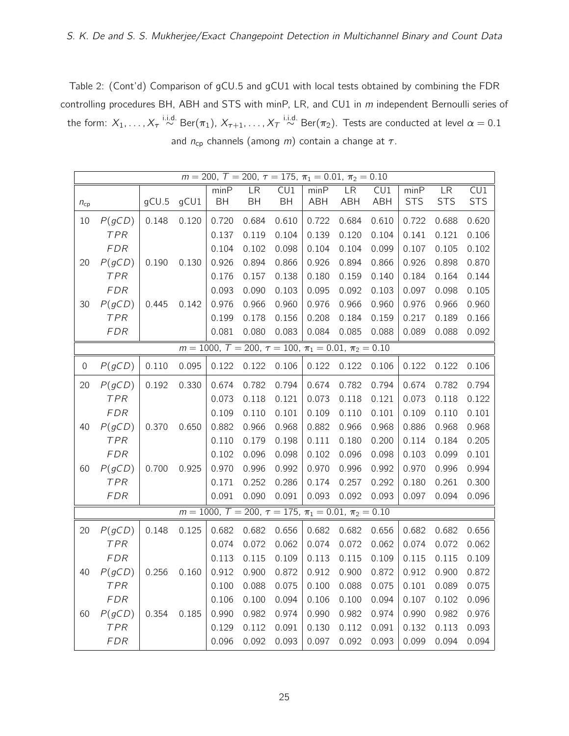<span id="page-24-0"></span>Table 2: (Cont'd) Comparison of gCU.5 and gCU1 with local tests obtained by combining the FDR controlling procedures BH, ABH and STS with minP, LR, and CU1 in m independent Bernoulli series of the form:  $X_1,\ldots,X_\tau \stackrel{\text{i.i.d.}}{\sim} \text{Ber}(\pi_1),\,X_{\tau+1},\ldots,X_\tau \stackrel{\text{i.i.d.}}{\sim} \text{Ber}(\pi_2).$  Tests are conducted at level  $\alpha=0.1$ and  $n_{cp}$  channels (among m) contain a change at  $\tau$ .

|             | $m = 200$ , $T = 200$ , $\tau = 175$ , $\pi_1 = 0.01$ , $\pi_2 = 0.10$ |       |       |       |                                                                         |                         |       |           |                         |            |            |                         |  |
|-------------|------------------------------------------------------------------------|-------|-------|-------|-------------------------------------------------------------------------|-------------------------|-------|-----------|-------------------------|------------|------------|-------------------------|--|
|             |                                                                        |       |       | minP  | LR                                                                      | $\overline{\text{CU1}}$ | minP  | <b>LR</b> | $\overline{\text{CU1}}$ | minP       | LR         | $\overline{\text{CU1}}$ |  |
| $n_{cp}$    |                                                                        | gCU.5 | gCU1  | BH    | BH                                                                      | <b>BH</b>               | ABH   | ABH       | ABH                     | <b>STS</b> | <b>STS</b> | <b>STS</b>              |  |
| 10          | P(gCD)                                                                 | 0.148 | 0.120 | 0.720 | 0.684                                                                   | 0.610                   | 0.722 | 0.684     | 0.610                   | 0.722      | 0.688      | 0.620                   |  |
|             | <b>TPR</b>                                                             |       |       | 0.137 | 0.119                                                                   | 0.104                   | 0.139 | 0.120     | 0.104                   | 0.141      | 0.121      | 0.106                   |  |
|             | <b>FDR</b>                                                             |       |       | 0.104 | 0.102                                                                   | 0.098                   | 0.104 | 0.104     | 0.099                   | 0.107      | 0.105      | 0.102                   |  |
| 20          | P(gCD)                                                                 | 0.190 | 0.130 | 0.926 | 0.894                                                                   | 0.866                   | 0.926 | 0.894     | 0.866                   | 0.926      | 0.898      | 0.870                   |  |
|             | TPR                                                                    |       |       | 0.176 | 0.157                                                                   | 0.138                   | 0.180 | 0.159     | 0.140                   | 0.184      | 0.164      | 0.144                   |  |
|             | <b>FDR</b>                                                             |       |       | 0.093 | 0.090                                                                   | 0.103                   | 0.095 | 0.092     | 0.103                   | 0.097      | 0.098      | 0.105                   |  |
| 30          | P(gCD)                                                                 | 0.445 | 0.142 | 0.976 | 0.966                                                                   | 0.960                   | 0.976 | 0.966     | 0.960                   | 0.976      | 0.966      | 0.960                   |  |
|             | <b>TPR</b>                                                             |       |       | 0.199 | 0.178                                                                   | 0.156                   | 0.208 | 0.184     | 0.159                   | 0.217      | 0.189      | 0.166                   |  |
|             | <b>FDR</b>                                                             |       |       | 0.081 | 0.080                                                                   | 0.083                   | 0.084 | 0.085     | 0.088                   | 0.089      | 0.088      | 0.092                   |  |
|             |                                                                        |       |       |       | $m = 1000$ , $T = 200$ , $\tau = 100$ , $\pi_1 = 0.01$ , $\pi_2 = 0.10$ |                         |       |           |                         |            |            |                         |  |
| $\mathbf 0$ | P(gCD)                                                                 | 0.110 | 0.095 | 0.122 | 0.122                                                                   | 0.106                   | 0.122 | 0.122     | 0.106                   | 0.122      | 0.122      | 0.106                   |  |
| 20          | P(gCD)                                                                 | 0.192 | 0.330 | 0.674 | 0.782                                                                   | 0.794                   | 0.674 | 0.782     | 0.794                   | 0.674      | 0.782      | 0.794                   |  |
|             | TPR                                                                    |       |       | 0.073 | 0.118                                                                   | 0.121                   | 0.073 | 0.118     | 0.121                   | 0.073      | 0.118      | 0.122                   |  |
|             | <b>FDR</b>                                                             |       |       | 0.109 | 0.110                                                                   | 0.101                   | 0.109 | 0.110     | 0.101                   | 0.109      | 0.110      | 0.101                   |  |
| 40          | P(gCD)                                                                 | 0.370 | 0.650 | 0.882 | 0.966                                                                   | 0.968                   | 0.882 | 0.966     | 0.968                   | 0.886      | 0.968      | 0.968                   |  |
|             | TPR                                                                    |       |       | 0.110 | 0.179                                                                   | 0.198                   | 0.111 | 0.180     | 0.200                   | 0.114      | 0.184      | 0.205                   |  |
|             | <b>FDR</b>                                                             |       |       | 0.102 | 0.096                                                                   | 0.098                   | 0.102 | 0.096     | 0.098                   | 0.103      | 0.099      | 0.101                   |  |
| 60          | P(gCD)                                                                 | 0.700 | 0.925 | 0.970 | 0.996                                                                   | 0.992                   | 0.970 | 0.996     | 0.992                   | 0.970      | 0.996      | 0.994                   |  |
|             | <b>TPR</b>                                                             |       |       | 0.171 | 0.252                                                                   | 0.286                   | 0.174 | 0.257     | 0.292                   | 0.180      | 0.261      | 0.300                   |  |
|             | <b>FDR</b>                                                             |       |       | 0.091 | 0.090                                                                   | 0.091                   | 0.093 | 0.092     | 0.093                   | 0.097      | 0.094      | 0.096                   |  |
|             |                                                                        |       |       |       | $m = 1000$ , $T = 200$ , $\tau = 175$ , $\pi_1 = 0.01$ , $\pi_2 = 0.10$ |                         |       |           |                         |            |            |                         |  |
| 20          | P(gCD)                                                                 | 0.148 | 0.125 | 0.682 | 0.682                                                                   | 0.656                   | 0.682 | 0.682     | 0.656                   | 0.682      | 0.682      | 0.656                   |  |
|             | TPR                                                                    |       |       | 0.074 | 0.072                                                                   | 0.062                   | 0.074 | 0.072     | 0.062                   | 0.074      | 0.072      | 0.062                   |  |
|             | <b>FDR</b>                                                             |       |       | 0.113 | 0.115                                                                   | 0.109                   | 0.113 | 0.115     | 0.109                   | 0.115      | 0.115      | 0.109                   |  |
| 40          | P(gCD)                                                                 | 0.256 | 0.160 | 0.912 | 0.900                                                                   | 0.872                   | 0.912 | 0.900     | 0.872                   | 0.912      | 0.900      | 0.872                   |  |
|             | TPR                                                                    |       |       | 0.100 | 0.088                                                                   | 0.075                   | 0.100 | 0.088     | 0.075                   | 0.101      | 0.089      | 0.075                   |  |
|             | <b>FDR</b>                                                             |       |       | 0.106 | 0.100                                                                   | 0.094                   | 0.106 | 0.100     | 0.094                   | 0.107      | 0.102      | 0.096                   |  |
| 60          | P(gCD)                                                                 | 0.354 | 0.185 | 0.990 | 0.982                                                                   | 0.974                   | 0.990 | 0.982     | 0.974                   | 0.990      | 0.982      | 0.976                   |  |
|             | <b>TPR</b>                                                             |       |       | 0.129 | 0.112                                                                   | 0.091                   | 0.130 | 0.112     | 0.091                   | 0.132      | 0.113      | 0.093                   |  |
|             | <b>FDR</b>                                                             |       |       | 0.096 | 0.092                                                                   | 0.093                   | 0.097 | 0.092     | 0.093                   | 0.099      | 0.094      | 0.094                   |  |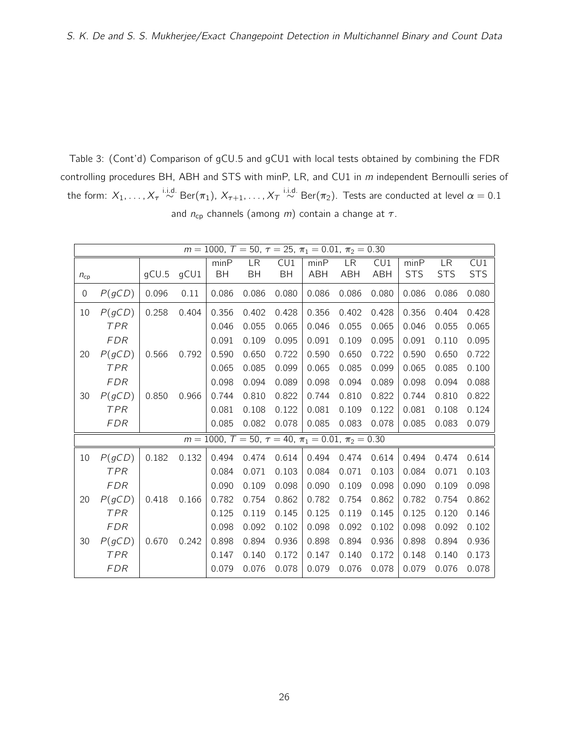<span id="page-25-0"></span>Table 3: (Cont'd) Comparison of gCU.5 and gCU1 with local tests obtained by combining the FDR controlling procedures BH, ABH and STS with minP, LR, and CU1 in m independent Bernoulli series of the form:  $X_1,\ldots,X_\tau \stackrel{\text{i.i.d.}}{\sim} \text{Ber}(\pi_1),\,X_{\tau+1},\ldots,X_\tau \stackrel{\text{i.i.d.}}{\sim} \text{Ber}(\pi_2).$  Tests are conducted at level  $\alpha=0.1$ and  $n_{cp}$  channels (among *m*) contain a change at  $\tau$ .

|          | $m = 1000$ , $T = 50$ , $\tau = 25$ , $\pi_1 = 0.01$ , $\pi_2 = 0.30$ |       |       |           |                                                                       |           |            |            |            |            |            |            |  |
|----------|-----------------------------------------------------------------------|-------|-------|-----------|-----------------------------------------------------------------------|-----------|------------|------------|------------|------------|------------|------------|--|
|          |                                                                       |       |       | minP      | LR                                                                    | CU1       | minP       | LR         | CU1        | minP       | <b>LR</b>  | CU1        |  |
| $n_{cp}$ |                                                                       | gCU.5 | gCU1  | <b>BH</b> | <b>BH</b>                                                             | <b>BH</b> | <b>ABH</b> | <b>ABH</b> | <b>ABH</b> | <b>STS</b> | <b>STS</b> | <b>STS</b> |  |
| 0        | P(gCD)                                                                | 0.096 | 0.11  | 0.086     | 0.086                                                                 | 0.080     | 0.086      | 0.086      | 0.080      | 0.086      | 0.086      | 0.080      |  |
| 10       | P(gCD)                                                                | 0.258 | 0.404 | 0.356     | 0.402                                                                 | 0.428     | 0.356      | 0.402      | 0.428      | 0.356      | 0.404      | 0.428      |  |
|          | <b>TPR</b>                                                            |       |       | 0.046     | 0.055                                                                 | 0.065     | 0.046      | 0.055      | 0.065      | 0.046      | 0.055      | 0.065      |  |
|          | <b>FDR</b>                                                            |       |       | 0.091     | 0.109                                                                 | 0.095     | 0.091      | 0.109      | 0.095      | 0.091      | 0.110      | 0.095      |  |
| 20       | P(gCD)                                                                | 0.566 | 0.792 | 0.590     | 0.650                                                                 | 0.722     | 0.590      | 0.650      | 0.722      | 0.590      | 0.650      | 0.722      |  |
|          | <b>TPR</b>                                                            |       |       | 0.065     | 0.085                                                                 | 0.099     | 0.065      | 0.085      | 0.099      | 0.065      | 0.085      | 0.100      |  |
|          | <b>FDR</b>                                                            |       |       | 0.098     | 0.094                                                                 | 0.089     | 0.098      | 0.094      | 0.089      | 0.098      | 0.094      | 0.088      |  |
| 30       | P(gCD)                                                                | 0.850 | 0.966 | 0.744     | 0.810                                                                 | 0.822     | 0.744      | 0.810      | 0.822      | 0.744      | 0.810      | 0.822      |  |
|          | <b>TPR</b>                                                            |       |       | 0.081     | 0.108                                                                 | 0.122     | 0.081      | 0.109      | 0.122      | 0.081      | 0.108      | 0.124      |  |
|          | <b>FDR</b>                                                            |       |       | 0.085     | 0.082                                                                 | 0.078     | 0.085      | 0.083      | 0.078      | 0.085      | 0.083      | 0.079      |  |
|          |                                                                       |       |       |           | $m = 1000$ , $T = 50$ , $\tau = 40$ , $\pi_1 = 0.01$ , $\pi_2 = 0.30$ |           |            |            |            |            |            |            |  |
| 10       | P(gCD)                                                                | 0.182 | 0.132 | 0.494     | 0.474                                                                 | 0.614     | 0.494      | 0.474      | 0.614      | 0.494      | 0.474      | 0.614      |  |
|          | TPR                                                                   |       |       | 0.084     | 0.071                                                                 | 0.103     | 0.084      | 0.071      | 0.103      | 0.084      | 0.071      | 0.103      |  |
|          | <b>FDR</b>                                                            |       |       | 0.090     | 0.109                                                                 | 0.098     | 0.090      | 0.109      | 0.098      | 0.090      | 0.109      | 0.098      |  |
| 20       | P(gCD)                                                                | 0.418 | 0.166 | 0.782     | 0.754                                                                 | 0.862     | 0.782      | 0.754      | 0.862      | 0.782      | 0.754      | 0.862      |  |
|          | TPR                                                                   |       |       | 0.125     | 0.119                                                                 | 0.145     | 0.125      | 0.119      | 0.145      | 0.125      | 0.120      | 0.146      |  |
|          | <b>FDR</b>                                                            |       |       | 0.098     | 0.092                                                                 | 0.102     | 0.098      | 0.092      | 0.102      | 0.098      | 0.092      | 0.102      |  |
| 30       | P(gCD)                                                                | 0.670 | 0.242 | 0.898     | 0.894                                                                 | 0.936     | 0.898      | 0.894      | 0.936      | 0.898      | 0.894      | 0.936      |  |
|          | <b>TPR</b>                                                            |       |       | 0.147     | 0.140                                                                 | 0.172     | 0.147      | 0.140      | 0.172      | 0.148      | 0.140      | 0.173      |  |
|          | <b>FDR</b>                                                            |       |       | 0.079     | 0.076                                                                 | 0.078     | 0.079      | 0.076      | 0.078      | 0.079      | 0.076      | 0.078      |  |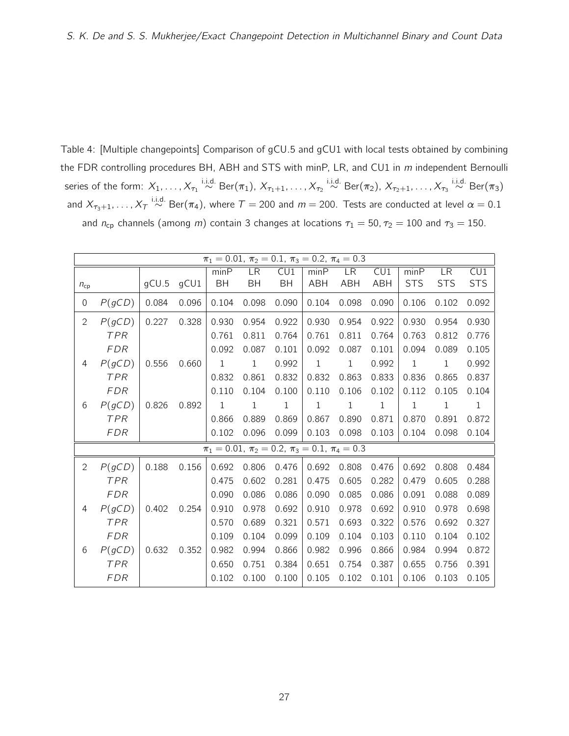<span id="page-26-0"></span>Table 4: [Multiple changepoints] Comparison of gCU.5 and gCU1 with local tests obtained by combining the FDR controlling procedures BH, ABH and STS with minP, LR, and CU1 in  $m$  independent Bernoulli series of the form:  $X_1,\ldots,X_{\tau_1}\overset{\textup{i.i.d.}}{\sim}\textup{Ber}(\pi_1),$   $X_{\tau_1+1},\ldots,X_{\tau_2}\overset{\textup{i.i.d.}}{\sim}\textup{Ber}(\pi_2),$   $X_{\tau_2+1},\ldots,X_{\tau_3}\overset{\textup{i.i.d.}}{\sim}\textup{Ber}(\pi_3)$ and  $X_{\tau_3+1},\ldots,X_{\tau} \stackrel{\text{i.i.d.}}{\sim} \text{Ber}(\pi_4)$ , where  $\tau=$  200 and  $m$   $=$  200. Tests are conducted at level  $\alpha=$  0.1 and  $n_{cp}$  channels (among m) contain 3 changes at locations  $\tau_1 = 50$ ,  $\tau_2 = 100$  and  $\tau_3 = 150$ .

|              | $\pi_1 = 0.01$ , $\pi_2 = 0.1$ , $\pi_3 = 0.2$ , $\pi_4 = 0.3$ |       |       |       |                                                                |              |              |              |            |             |              |            |  |
|--------------|----------------------------------------------------------------|-------|-------|-------|----------------------------------------------------------------|--------------|--------------|--------------|------------|-------------|--------------|------------|--|
|              |                                                                |       |       | minP  | LR                                                             | CU1          | minP         | <b>LR</b>    | CU1        | minP        | <b>LR</b>    | CU1        |  |
| $n_{cp}$     |                                                                | gCU.5 | gCU1  | BH    | <b>BH</b>                                                      | <b>BH</b>    | <b>ABH</b>   | <b>ABH</b>   | <b>ABH</b> | <b>STS</b>  | <b>STS</b>   | <b>STS</b> |  |
| 0            | P(gCD)                                                         | 0.084 | 0.096 | 0.104 | 0.098                                                          | 0.090        | 0.104        | 0.098        | 0.090      | 0.106       | 0.102        | 0.092      |  |
| $\mathbf{2}$ | P(gCD)                                                         | 0.227 | 0.328 | 0.930 | 0.954                                                          | 0.922        | 0.930        | 0.954        | 0.922      | 0.930       | 0.954        | 0.930      |  |
|              | <b>TPR</b>                                                     |       |       | 0.761 | 0.811                                                          | 0.764        | 0.761        | 0.811        | 0.764      | 0.763       | 0.812        | 0.776      |  |
|              | <b>FDR</b>                                                     |       |       | 0.092 | 0.087                                                          | 0.101        | 0.092        | 0.087        | 0.101      | 0.094       | 0.089        | 0.105      |  |
| 4            | P(gCD)                                                         | 0.556 | 0.660 | $1\,$ | $\mathbf{1}$                                                   | 0.992        | $\mathbf{1}$ | $\mathbf{1}$ | 0.992      | $\mathbf 1$ | $\mathbf{1}$ | 0.992      |  |
|              | <b>TPR</b>                                                     |       |       | 0.832 | 0.861                                                          | 0.832        | 0.832        | 0.863        | 0.833      | 0.836       | 0.865        | 0.837      |  |
|              | <b>FDR</b>                                                     |       |       | 0.110 | 0.104                                                          | 0.100        | 0.110        | 0.106        | 0.102      | 0.112       | 0.105        | 0.104      |  |
| 6            | P(gCD)                                                         | 0.826 | 0.892 | 1     | 1                                                              | $\mathbf{1}$ | 1            | 1            | 1          | 1           | 1            | 1          |  |
|              | <b>TPR</b>                                                     |       |       | 0.866 | 0.889                                                          | 0.869        | 0.867        | 0.890        | 0.871      | 0.870       | 0.891        | 0.872      |  |
|              | FDR                                                            |       |       | 0.102 | 0.096                                                          | 0.099        | 0.103        | 0.098        | 0.103      | 0.104       | 0.098        | 0.104      |  |
|              |                                                                |       |       |       | $\pi_1 = 0.01$ , $\pi_2 = 0.2$ , $\pi_3 = 0.1$ , $\pi_4 = 0.3$ |              |              |              |            |             |              |            |  |
| $\mathbf{2}$ | P(gCD)                                                         | 0.188 | 0.156 | 0.692 | 0.806                                                          | 0.476        | 0.692        | 0.808        | 0.476      | 0.692       | 0.808        | 0.484      |  |
|              | <b>TPR</b>                                                     |       |       | 0.475 | 0.602                                                          | 0.281        | 0.475        | 0.605        | 0.282      | 0.479       | 0.605        | 0.288      |  |
|              | <b>FDR</b>                                                     |       |       | 0.090 | 0.086                                                          | 0.086        | 0.090        | 0.085        | 0.086      | 0.091       | 0.088        | 0.089      |  |
| 4            | P(gCD)                                                         | 0.402 | 0.254 | 0.910 | 0.978                                                          | 0.692        | 0.910        | 0.978        | 0.692      | 0.910       | 0.978        | 0.698      |  |
|              | <b>TPR</b>                                                     |       |       | 0.570 | 0.689                                                          | 0.321        | 0.571        | 0.693        | 0.322      | 0.576       | 0.692        | 0.327      |  |
|              | <b>FDR</b>                                                     |       |       | 0.109 | 0.104                                                          | 0.099        | 0.109        | 0.104        | 0.103      | 0.110       | 0.104        | 0.102      |  |
| 6            | P(gCD)                                                         | 0.632 | 0.352 | 0.982 | 0.994                                                          | 0.866        | 0.982        | 0.996        | 0.866      | 0.984       | 0.994        | 0.872      |  |
|              | <b>TPR</b>                                                     |       |       | 0.650 | 0.751                                                          | 0.384        | 0.651        | 0.754        | 0.387      | 0.655       | 0.756        | 0.391      |  |
|              | <b>FDR</b>                                                     |       |       | 0.102 | 0.100                                                          | 0.100        | 0.105        | 0.102        | 0.101      | 0.106       | 0.103        | 0.105      |  |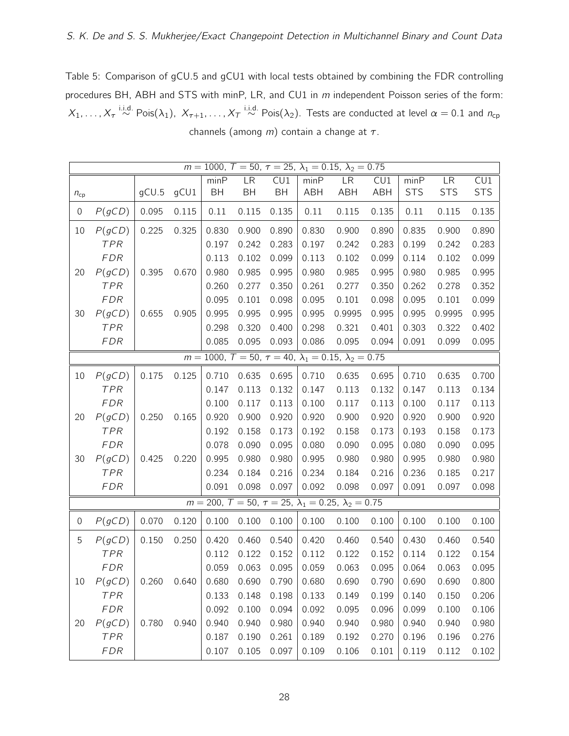<span id="page-27-0"></span>Table 5: Comparison of gCU.5 and gCU1 with local tests obtained by combining the FDR controlling procedures BH, ABH and STS with minP, LR, and CU1 in m independent Poisson series of the form:  $X_1,\ldots,X_\tau \stackrel{\text{i.i.d.}}{\sim} \text{Pois}(\lambda_1),\ X_{\tau+1},\ldots,X_\tau \stackrel{\text{i.i.d.}}{\sim} \text{Pois}(\lambda_2).$  Tests are conducted at level  $\alpha=0.1$  and  $n_\text{cp}$ channels (among  $m$ ) contain a change at  $\tau$ .

| $m = 1000$ , $T = 50$ , $\tau = 25$ , $\lambda_1 = 0.15$ , $\lambda_2 = 0.75$ |            |       |       |       |       |       |       |                                                                              |            |            |            |            |
|-------------------------------------------------------------------------------|------------|-------|-------|-------|-------|-------|-------|------------------------------------------------------------------------------|------------|------------|------------|------------|
|                                                                               |            |       |       | minP  | LR    | CU1   | minP  | LR <sup></sup>                                                               | CU1        | minP       | LR         | CU1        |
| $n_{cp}$                                                                      |            | gCU.5 | gCU1  | BH    | BH    | BH    | ABH   | <b>ABH</b>                                                                   | <b>ABH</b> | <b>STS</b> | <b>STS</b> | <b>STS</b> |
| 0                                                                             | P(gCD)     | 0.095 | 0.115 | 0.11  | 0.115 | 0.135 | 0.11  | 0.115                                                                        | 0.135      | 0.11       | 0.115      | 0.135      |
| 10                                                                            | P(gCD)     | 0.225 | 0.325 | 0.830 | 0.900 | 0.890 | 0.830 | 0.900                                                                        | 0.890      | 0.835      | 0.900      | 0.890      |
|                                                                               | TPR        |       |       | 0.197 | 0.242 | 0.283 | 0.197 | 0.242                                                                        | 0.283      | 0.199      | 0.242      | 0.283      |
|                                                                               | <b>FDR</b> |       |       | 0.113 | 0.102 | 0.099 | 0.113 | 0.102                                                                        | 0.099      | 0.114      | 0.102      | 0.099      |
| 20                                                                            | P(gCD)     | 0.395 | 0.670 | 0.980 | 0.985 | 0.995 | 0.980 | 0.985                                                                        | 0.995      | 0.980      | 0.985      | 0.995      |
|                                                                               | TPR        |       |       | 0.260 | 0.277 | 0.350 | 0.261 | 0.277                                                                        | 0.350      | 0.262      | 0.278      | 0.352      |
|                                                                               | <b>FDR</b> |       |       | 0.095 | 0.101 | 0.098 | 0.095 | 0.101                                                                        | 0.098      | 0.095      | 0.101      | 0.099      |
| 30                                                                            | P(gCD)     | 0.655 | 0.905 | 0.995 | 0.995 | 0.995 | 0.995 | 0.9995                                                                       | 0.995      | 0.995      | 0.9995     | 0.995      |
|                                                                               | TPR        |       |       | 0.298 | 0.320 | 0.400 | 0.298 | 0.321                                                                        | 0.401      | 0.303      | 0.322      | 0.402      |
|                                                                               | <b>FDR</b> |       |       | 0.085 | 0.095 | 0.093 | 0.086 | 0.095                                                                        | 0.094      | 0.091      | 0.099      | 0.095      |
|                                                                               |            |       |       |       |       |       |       | $m = 1000, T = 50, \tau = 40, \lambda_1 = 0.15, \lambda_2 = 0.75$            |            |            |            |            |
| 10                                                                            | P(gCD)     | 0.175 | 0.125 | 0.710 | 0.635 | 0.695 | 0.710 | 0.635                                                                        | 0.695      | 0.710      | 0.635      | 0.700      |
|                                                                               | TPR        |       |       | 0.147 | 0.113 | 0.132 | 0.147 | 0.113                                                                        | 0.132      | 0.147      | 0.113      | 0.134      |
|                                                                               | <b>FDR</b> |       |       | 0.100 | 0.117 | 0.113 | 0.100 | 0.117                                                                        | 0.113      | 0.100      | 0.117      | 0.113      |
| 20                                                                            | P(gCD)     | 0.250 | 0.165 | 0.920 | 0.900 | 0.920 | 0.920 | 0.900                                                                        | 0.920      | 0.920      | 0.900      | 0.920      |
|                                                                               | TPR        |       |       | 0.192 | 0.158 | 0.173 | 0.192 | 0.158                                                                        | 0.173      | 0.193      | 0.158      | 0.173      |
|                                                                               | <b>FDR</b> |       |       | 0.078 | 0.090 | 0.095 | 0.080 | 0.090                                                                        | 0.095      | 0.080      | 0.090      | 0.095      |
| 30                                                                            | P(gCD)     | 0.425 | 0.220 | 0.995 | 0.980 | 0.980 | 0.995 | 0.980                                                                        | 0.980      | 0.995      | 0.980      | 0.980      |
|                                                                               | TPR        |       |       | 0.234 | 0.184 | 0.216 | 0.234 | 0.184                                                                        | 0.216      | 0.236      | 0.185      | 0.217      |
|                                                                               | <b>FDR</b> |       |       | 0.091 | 0.098 | 0.097 | 0.092 | 0.098                                                                        | 0.097      | 0.091      | 0.097      | 0.098      |
|                                                                               |            |       |       |       |       |       |       | $m = 200$ , $T = 50$ , $\tau = 25$ , $\lambda_1 = 0.25$ , $\lambda_2 = 0.75$ |            |            |            |            |
| $\boldsymbol{0}$                                                              | P(gCD)     | 0.070 | 0.120 | 0.100 | 0.100 | 0.100 | 0.100 | 0.100                                                                        | 0.100      | 0.100      | 0.100      | 0.100      |
| 5                                                                             | P(gCD)     | 0.150 | 0.250 | 0.420 | 0.460 | 0.540 | 0.420 | 0.460                                                                        | 0.540      | 0.430      | 0.460      | 0.540      |
|                                                                               | TPR        |       |       | 0.112 | 0.122 | 0.152 | 0.112 | 0.122                                                                        | 0.152      | 0.114      | 0.122      | 0.154      |
|                                                                               | <b>FDR</b> |       |       | 0.059 | 0.063 | 0.095 | 0.059 | 0.063                                                                        | 0.095      | 0.064      | 0.063      | 0.095      |
| 10                                                                            | P(gCD)     | 0.260 | 0.640 | 0.680 | 0.690 | 0.790 | 0.680 | 0.690                                                                        | 0.790      | 0.690      | 0.690      | 0.800      |
|                                                                               | TPR        |       |       | 0.133 | 0.148 | 0.198 | 0.133 | 0.149                                                                        | 0.199      | 0.140      | 0.150      | 0.206      |
|                                                                               | <b>FDR</b> |       |       | 0.092 | 0.100 | 0.094 | 0.092 | 0.095                                                                        | 0.096      | 0.099      | 0.100      | 0.106      |
| 20                                                                            | P(gCD)     | 0.780 | 0.940 | 0.940 | 0.940 | 0.980 | 0.940 | 0.940                                                                        | 0.980      | 0.940      | 0.940      | 0.980      |
|                                                                               | <b>TPR</b> |       |       | 0.187 | 0.190 | 0.261 | 0.189 | 0.192                                                                        | 0.270      | 0.196      | 0.196      | 0.276      |
|                                                                               | <b>FDR</b> |       |       | 0.107 | 0.105 | 0.097 | 0.109 | 0.106                                                                        | 0.101      | 0.119      | 0.112      | 0.102      |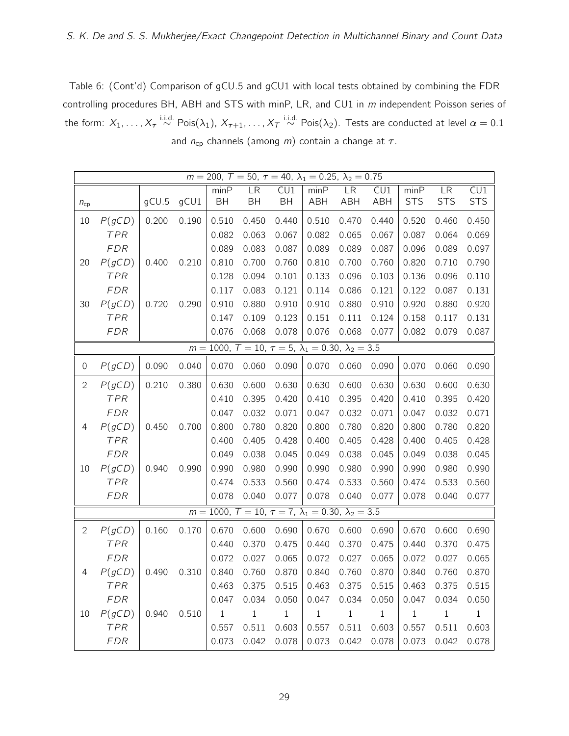Table 6: (Cont'd) Comparison of gCU.5 and gCU1 with local tests obtained by combining the FDR controlling procedures BH, ABH and STS with minP, LR, and CU1 in m independent Poisson series of the form:  $X_1,\ldots,X_\tau \stackrel{\textup{i.i.d.}}{\sim}\textup{Pois}(\lambda_1),\ X_{\tau+1},\ldots,X_\tau \stackrel{\textup{i.i.d.}}{\sim}\textup{Pois}(\lambda_2).$  Tests are conducted at level  $\alpha=0.1$ and  $n_{cp}$  channels (among *m*) contain a change at  $\tau$ .

|                | $m = 200$ , $T = 50$ , $\tau = 40$ , $\lambda_1 = 0.25$ , $\lambda_2 = 0.75$ |       |       |       |       |                                                                             |       |           |                         |              |             |                         |  |
|----------------|------------------------------------------------------------------------------|-------|-------|-------|-------|-----------------------------------------------------------------------------|-------|-----------|-------------------------|--------------|-------------|-------------------------|--|
|                |                                                                              |       |       | minP  | LR    | $\overline{\text{CU1}}$                                                     | minP  | <b>LR</b> | $\overline{\text{CU1}}$ | minP         | LR          | $\overline{\text{CU1}}$ |  |
| $n_{cp}$       |                                                                              | gCU.5 | gCU1  | BH    | BH    | <b>BH</b>                                                                   | ABH   | ABH       | <b>ABH</b>              | <b>STS</b>   | <b>STS</b>  | <b>STS</b>              |  |
| 10             | P(gCD)                                                                       | 0.200 | 0.190 | 0.510 | 0.450 | 0.440                                                                       | 0.510 | 0.470     | 0.440                   | 0.520        | 0.460       | 0.450                   |  |
|                | TPR                                                                          |       |       | 0.082 | 0.063 | 0.067                                                                       | 0.082 | 0.065     | 0.067                   | 0.087        | 0.064       | 0.069                   |  |
|                | <b>FDR</b>                                                                   |       |       | 0.089 | 0.083 | 0.087                                                                       | 0.089 | 0.089     | 0.087                   | 0.096        | 0.089       | 0.097                   |  |
| 20             | P(gCD)                                                                       | 0.400 | 0.210 | 0.810 | 0.700 | 0.760                                                                       | 0.810 | 0.700     | 0.760                   | 0.820        | 0.710       | 0.790                   |  |
|                | TPR                                                                          |       |       | 0.128 | 0.094 | 0.101                                                                       | 0.133 | 0.096     | 0.103                   | 0.136        | 0.096       | 0.110                   |  |
|                | <b>FDR</b>                                                                   |       |       | 0.117 | 0.083 | 0.121                                                                       | 0.114 | 0.086     | 0.121                   | 0.122        | 0.087       | 0.131                   |  |
| 30             | P(gCD)                                                                       | 0.720 | 0.290 | 0.910 | 0.880 | 0.910                                                                       | 0.910 | 0.880     | 0.910                   | 0.920        | 0.880       | 0.920                   |  |
|                | TPR                                                                          |       |       | 0.147 | 0.109 | 0.123                                                                       | 0.151 | 0.111     | 0.124                   | 0.158        | 0.117       | 0.131                   |  |
|                | <b>FDR</b>                                                                   |       |       | 0.076 | 0.068 | 0.078                                                                       | 0.076 | 0.068     | 0.077                   | 0.082        | 0.079       | 0.087                   |  |
|                |                                                                              |       |       |       |       | $m = 1000$ , $T = 10$ , $\tau = 5$ , $\lambda_1 = 0.30$ , $\lambda_2 = 3.5$ |       |           |                         |              |             |                         |  |
| $\mathbf 0$    | P(gCD)                                                                       | 0.090 | 0.040 | 0.070 | 0.060 | 0.090                                                                       | 0.070 | 0.060     | 0.090                   | 0.070        | 0.060       | 0.090                   |  |
| $\overline{2}$ | P(gCD)                                                                       | 0.210 | 0.380 | 0.630 | 0.600 | 0.630                                                                       | 0.630 | 0.600     | 0.630                   | 0.630        | 0.600       | 0.630                   |  |
|                | TPR                                                                          |       |       | 0.410 | 0.395 | 0.420                                                                       | 0.410 | 0.395     | 0.420                   | 0.410        | 0.395       | 0.420                   |  |
|                | <b>FDR</b>                                                                   |       |       | 0.047 | 0.032 | 0.071                                                                       | 0.047 | 0.032     | 0.071                   | 0.047        | 0.032       | 0.071                   |  |
| 4              | P(gCD)                                                                       | 0.450 | 0.700 | 0.800 | 0.780 | 0.820                                                                       | 0.800 | 0.780     | 0.820                   | 0.800        | 0.780       | 0.820                   |  |
|                | TPR                                                                          |       |       | 0.400 | 0.405 | 0.428                                                                       | 0.400 | 0.405     | 0.428                   | 0.400        | 0.405       | 0.428                   |  |
|                | <b>FDR</b>                                                                   |       |       | 0.049 | 0.038 | 0.045                                                                       | 0.049 | 0.038     | 0.045                   | 0.049        | 0.038       | 0.045                   |  |
| 10             | P(gCD)                                                                       | 0.940 | 0.990 | 0.990 | 0.980 | 0.990                                                                       | 0.990 | 0.980     | 0.990                   | 0.990        | 0.980       | 0.990                   |  |
|                | TPR                                                                          |       |       | 0.474 | 0.533 | 0.560                                                                       | 0.474 | 0.533     | 0.560                   | 0.474        | 0.533       | 0.560                   |  |
|                | <b>FDR</b>                                                                   |       |       | 0.078 | 0.040 | 0.077                                                                       | 0.078 | 0.040     | 0.077                   | 0.078        | 0.040       | 0.077                   |  |
|                |                                                                              |       |       |       |       | $m = 1000$ , $T = 10$ , $\tau = 7$ , $\lambda_1 = 0.30$ , $\lambda_2 = 3.5$ |       |           |                         |              |             |                         |  |
| 2              | P(gCD)                                                                       | 0.160 | 0.170 | 0.670 | 0.600 | 0.690                                                                       | 0.670 | 0.600     | 0.690                   | 0.670        | 0.600       | 0.690                   |  |
|                | TPR                                                                          |       |       | 0.440 | 0.370 | 0.475                                                                       | 0.440 | 0.370     | 0.475                   | 0.440        | 0.370       | 0.475                   |  |
|                | FDR                                                                          |       |       | 0.072 | 0.027 | 0.065                                                                       | 0.072 | 0.027     | 0.065                   | 0.072        | 0.027       | 0.065                   |  |
| 4              | P(gCD)                                                                       | 0.490 | 0.310 | 0.840 | 0.760 | 0.870                                                                       | 0.840 | 0.760     | 0.870                   | 0.840        | 0.760       | 0.870                   |  |
|                | TPR                                                                          |       |       | 0.463 | 0.375 | 0.515                                                                       | 0.463 | 0.375     | 0.515                   | 0.463        | 0.375       | 0.515                   |  |
|                | <b>FDR</b>                                                                   |       |       | 0.047 | 0.034 | 0.050                                                                       | 0.047 | 0.034     | 0.050                   | 0.047        | 0.034       | 0.050                   |  |
| 10             | P(gCD)                                                                       | 0.940 | 0.510 | $\,1$ | $\,1$ | $1\,$                                                                       | $\,1$ | $\,1\,$   | $\,1\,$                 | $\mathbf{1}$ | $\mathbf 1$ | $\mathbf{1}$            |  |
|                | TPR                                                                          |       |       | 0.557 | 0.511 | 0.603                                                                       | 0.557 | 0.511     | 0.603                   | 0.557        | 0.511       | 0.603                   |  |
|                | <b>FDR</b>                                                                   |       |       | 0.073 | 0.042 | 0.078                                                                       | 0.073 | 0.042     | 0.078                   | 0.073        | 0.042       | 0.078                   |  |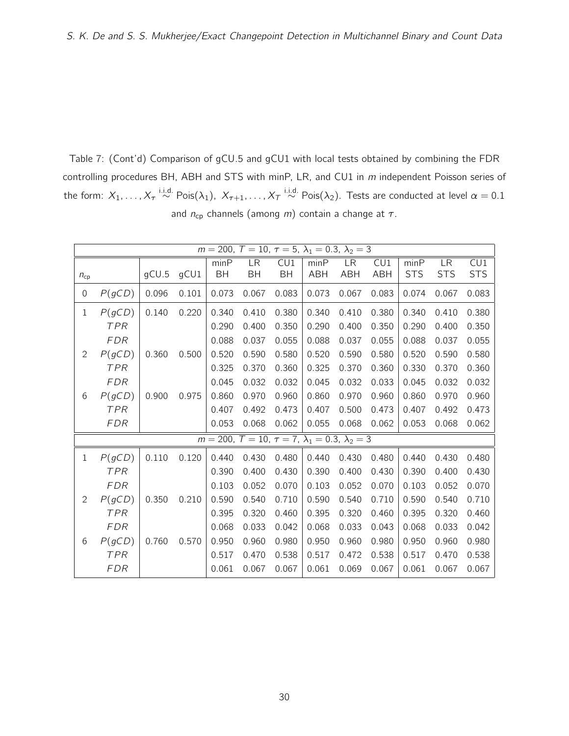<span id="page-29-0"></span>Table 7: (Cont'd) Comparison of gCU.5 and gCU1 with local tests obtained by combining the FDR controlling procedures BH, ABH and STS with minP, LR, and CU1 in m independent Poisson series of the form:  $X_1,\ldots,X_\tau \stackrel{\text{i.i.d.}}{\sim}\text{Pois}(\lambda_1),\ X_{\tau+1},\ldots,X_\tau \stackrel{\text{i.i.d.}}{\sim}\text{Pois}(\lambda_2).$  Tests are conducted at level  $\alpha=0.1$ and  $n_{cp}$  channels (among *m*) contain a change at  $\tau$ .

|                  | $m = 200$ , $T = 10$ , $\tau = 5$ , $\lambda_1 = 0.3$ , $\lambda_2 = 3$ |       |       |       |                                                                         |           |            |            |       |            |            |            |  |
|------------------|-------------------------------------------------------------------------|-------|-------|-------|-------------------------------------------------------------------------|-----------|------------|------------|-------|------------|------------|------------|--|
|                  |                                                                         |       |       | minP  | <b>LR</b>                                                               | CU1       | minP       | LR         | CU1   | minP       | <b>LR</b>  | CU1        |  |
| $n_{\rm cb}$     |                                                                         | qCU.5 | gCU1  | BH    | BH                                                                      | <b>BH</b> | <b>ABH</b> | <b>ABH</b> | ABH   | <b>STS</b> | <b>STS</b> | <b>STS</b> |  |
| $\boldsymbol{0}$ | P(gCD)                                                                  | 0.096 | 0.101 | 0.073 | 0.067                                                                   | 0.083     | 0.073      | 0.067      | 0.083 | 0.074      | 0.067      | 0.083      |  |
| $\mathbf 1$      | P(gCD)                                                                  | 0.140 | 0.220 | 0.340 | 0.410                                                                   | 0.380     | 0.340      | 0.410      | 0.380 | 0.340      | 0.410      | 0.380      |  |
|                  | <b>TPR</b>                                                              |       |       | 0.290 | 0.400                                                                   | 0.350     | 0.290      | 0.400      | 0.350 | 0.290      | 0.400      | 0.350      |  |
|                  | <b>FDR</b>                                                              |       |       | 0.088 | 0.037                                                                   | 0.055     | 0.088      | 0.037      | 0.055 | 0.088      | 0.037      | 0.055      |  |
| $\overline{2}$   | P(gCD)                                                                  | 0.360 | 0.500 | 0.520 | 0.590                                                                   | 0.580     | 0.520      | 0.590      | 0.580 | 0.520      | 0.590      | 0.580      |  |
|                  | TPR                                                                     |       |       | 0.325 | 0.370                                                                   | 0.360     | 0.325      | 0.370      | 0.360 | 0.330      | 0.370      | 0.360      |  |
|                  | <b>FDR</b>                                                              |       |       | 0.045 | 0.032                                                                   | 0.032     | 0.045      | 0.032      | 0.033 | 0.045      | 0.032      | 0.032      |  |
| 6                | P(gCD)                                                                  | 0.900 | 0.975 | 0.860 | 0.970                                                                   | 0.960     | 0.860      | 0.970      | 0.960 | 0.860      | 0.970      | 0.960      |  |
|                  | <b>TPR</b>                                                              |       |       | 0.407 | 0.492                                                                   | 0.473     | 0.407      | 0.500      | 0.473 | 0.407      | 0.492      | 0.473      |  |
|                  | <b>FDR</b>                                                              |       |       | 0.053 | 0.068                                                                   | 0.062     | 0.055      | 0.068      | 0.062 | 0.053      | 0.068      | 0.062      |  |
|                  |                                                                         |       |       |       | $m = 200$ , $T = 10$ , $\tau = 7$ , $\lambda_1 = 0.3$ , $\lambda_2 = 3$ |           |            |            |       |            |            |            |  |
| $\mathbf{1}$     | P(gCD)                                                                  | 0.110 | 0.120 | 0.440 | 0.430                                                                   | 0.480     | 0.440      | 0.430      | 0.480 | 0.440      | 0.430      | 0.480      |  |
|                  | <b>TPR</b>                                                              |       |       | 0.390 | 0.400                                                                   | 0.430     | 0.390      | 0.400      | 0.430 | 0.390      | 0.400      | 0.430      |  |
|                  | <b>FDR</b>                                                              |       |       | 0.103 | 0.052                                                                   | 0.070     | 0.103      | 0.052      | 0.070 | 0.103      | 0.052      | 0.070      |  |
| $\mathbf{2}$     | P(gCD)                                                                  | 0.350 | 0.210 | 0.590 | 0.540                                                                   | 0.710     | 0.590      | 0.540      | 0.710 | 0.590      | 0.540      | 0.710      |  |
|                  | <b>TPR</b>                                                              |       |       | 0.395 | 0.320                                                                   | 0.460     | 0.395      | 0.320      | 0.460 | 0.395      | 0.320      | 0.460      |  |
|                  | <b>FDR</b>                                                              |       |       | 0.068 | 0.033                                                                   | 0.042     | 0.068      | 0.033      | 0.043 | 0.068      | 0.033      | 0.042      |  |
| 6                | P(gCD)                                                                  | 0.760 | 0.570 | 0.950 | 0.960                                                                   | 0.980     | 0.950      | 0.960      | 0.980 | 0.950      | 0.960      | 0.980      |  |
|                  | <b>TPR</b>                                                              |       |       | 0.517 | 0.470                                                                   | 0.538     | 0.517      | 0.472      | 0.538 | 0.517      | 0.470      | 0.538      |  |
|                  | <b>FDR</b>                                                              |       |       | 0.061 | 0.067                                                                   | 0.067     | 0.061      | 0.069      | 0.067 | 0.061      | 0.067      | 0.067      |  |